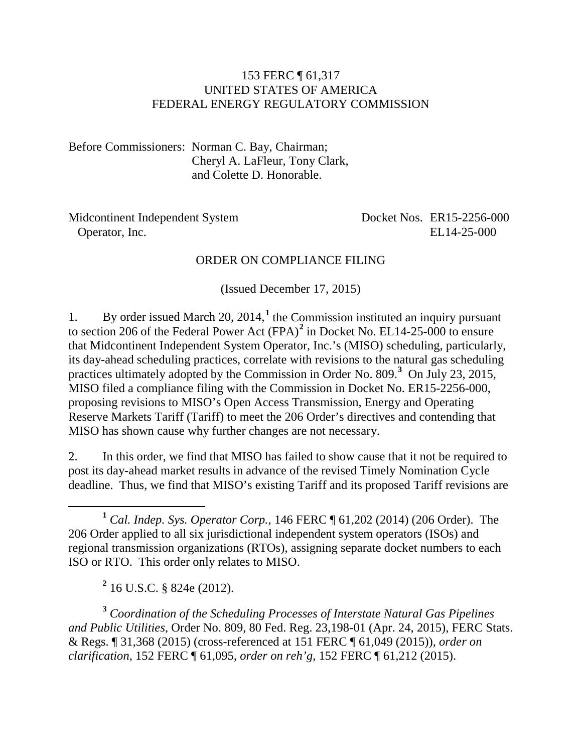#### 153 FERC ¶ 61,317 UNITED STATES OF AMERICA FEDERAL ENERGY REGULATORY COMMISSION

Before Commissioners: Norman C. Bay, Chairman; Cheryl A. LaFleur, Tony Clark, and Colette D. Honorable.

| Midcontinent Independent System | Docket Nos. ER15-2256-000 |
|---------------------------------|---------------------------|
| Operator, Inc.                  | EL14-25-000               |

#### ORDER ON COMPLIANCE FILING

(Issued December 17, 2015)

1. By order issued March 20, 2014,**[1](#page-0-0)** the Commission instituted an inquiry pursuant to section 206 of the Federal Power Act (FPA)**[2](#page-0-1)** in Docket No. EL14-25-000 to ensure that Midcontinent Independent System Operator, Inc.'s (MISO) scheduling, particularly, its day-ahead scheduling practices, correlate with revisions to the natural gas scheduling practices ultimately adopted by the Commission in Order No. 809.<sup>[3](#page-0-2)</sup> On July 23, 2015, MISO filed a compliance filing with the Commission in Docket No. ER15-2256-000, proposing revisions to MISO's Open Access Transmission, Energy and Operating Reserve Markets Tariff (Tariff) to meet the 206 Order's directives and contending that MISO has shown cause why further changes are not necessary.

2. In this order, we find that MISO has failed to show cause that it not be required to post its day-ahead market results in advance of the revised Timely Nomination Cycle deadline. Thus, we find that MISO's existing Tariff and its proposed Tariff revisions are

**<sup>2</sup>** 16 U.S.C. § 824e (2012).

<span id="page-0-2"></span><span id="page-0-1"></span>**<sup>3</sup>** *Coordination of the Scheduling Processes of Interstate Natural Gas Pipelines and Public Utilities*, Order No. 809, 80 Fed. Reg. 23,198-01 (Apr. 24, 2015), FERC Stats. & Regs. ¶ 31,368 (2015) (cross-referenced at 151 FERC ¶ 61,049 (2015)), *order on clarification*, 152 FERC ¶ 61,095, *order on reh'g*, 152 FERC ¶ 61,212 (2015).

<span id="page-0-0"></span>**<sup>1</sup>** *Cal. Indep. Sys. Operator Corp.*, 146 FERC ¶ 61,202 (2014) (206 Order). The 206 Order applied to all six jurisdictional independent system operators (ISOs) and regional transmission organizations (RTOs), assigning separate docket numbers to each ISO or RTO. This order only relates to MISO.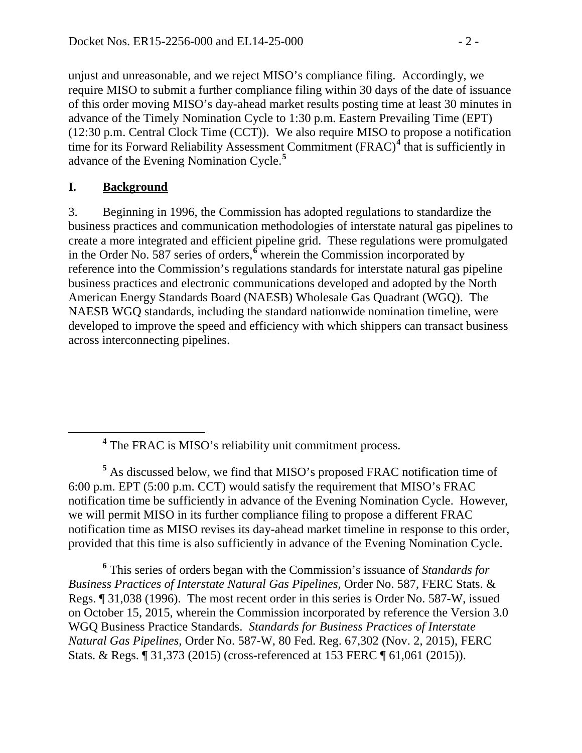unjust and unreasonable, and we reject MISO's compliance filing. Accordingly, we require MISO to submit a further compliance filing within 30 days of the date of issuance of this order moving MISO's day-ahead market results posting time at least 30 minutes in advance of the Timely Nomination Cycle to 1:30 p.m. Eastern Prevailing Time (EPT) (12:30 p.m. Central Clock Time (CCT)). We also require MISO to propose a notification time for its Forward Reliability Assessment Commitment (FRAC)**[4](#page-1-0)** that is sufficiently in advance of the Evening Nomination Cycle.**[5](#page-1-1)**

# **I. Background**

3. Beginning in 1996, the Commission has adopted regulations to standardize the business practices and communication methodologies of interstate natural gas pipelines to create a more integrated and efficient pipeline grid. These regulations were promulgated in the Order No. 587 series of orders,**[6](#page-1-2)** wherein the Commission incorporated by reference into the Commission's regulations standards for interstate natural gas pipeline business practices and electronic communications developed and adopted by the North American Energy Standards Board (NAESB) Wholesale Gas Quadrant (WGQ). The NAESB WGQ standards, including the standard nationwide nomination timeline, were developed to improve the speed and efficiency with which shippers can transact business across interconnecting pipelines.

<span id="page-1-1"></span><span id="page-1-0"></span>**<sup>5</sup>** As discussed below, we find that MISO's proposed FRAC notification time of 6:00 p.m. EPT (5:00 p.m. CCT) would satisfy the requirement that MISO's FRAC notification time be sufficiently in advance of the Evening Nomination Cycle. However, we will permit MISO in its further compliance filing to propose a different FRAC notification time as MISO revises its day-ahead market timeline in response to this order, provided that this time is also sufficiently in advance of the Evening Nomination Cycle.

<span id="page-1-2"></span>**<sup>6</sup>** This series of orders began with the Commission's issuance of *Standards for Business Practices of Interstate Natural Gas Pipelines*, Order No. 587, FERC Stats. & Regs. ¶ 31,038 (1996). The most recent order in this series is Order No. 587-W, issued on October 15, 2015, wherein the Commission incorporated by reference the Version 3.0 WGQ Business Practice Standards. *Standards for Business Practices of Interstate Natural Gas Pipelines*, Order No. 587-W, 80 Fed. Reg. 67,302 (Nov. 2, 2015), FERC Stats. & Regs. ¶ 31,373 (2015) (cross-referenced at 153 FERC ¶ 61,061 (2015)).

**<sup>4</sup>** The FRAC is MISO's reliability unit commitment process.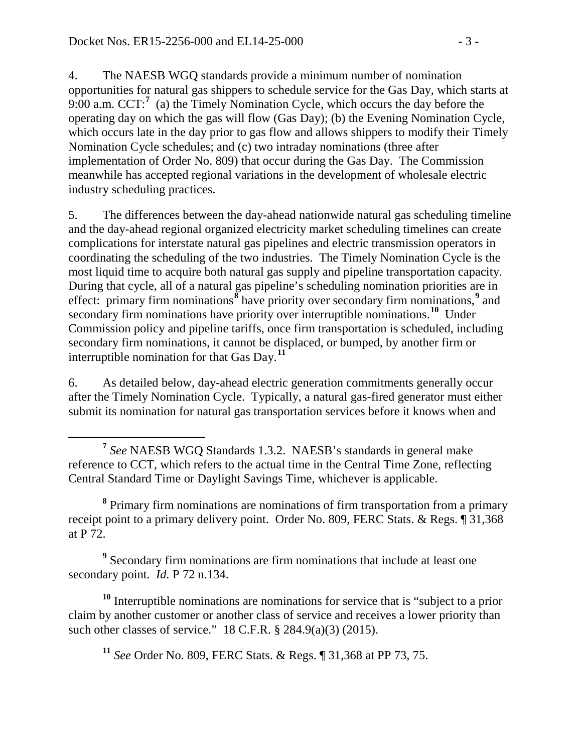4. The NAESB WGQ standards provide a minimum number of nomination opportunities for natural gas shippers to schedule service for the Gas Day, which starts at  $9:00$  a.m. CCT:<sup>[7](#page-2-0)</sup> (a) the Timely Nomination Cycle, which occurs the day before the operating day on which the gas will flow (Gas Day); (b) the Evening Nomination Cycle, which occurs late in the day prior to gas flow and allows shippers to modify their Timely Nomination Cycle schedules; and (c) two intraday nominations (three after implementation of Order No. 809) that occur during the Gas Day. The Commission meanwhile has accepted regional variations in the development of wholesale electric industry scheduling practices.

5. The differences between the day-ahead nationwide natural gas scheduling timeline and the day-ahead regional organized electricity market scheduling timelines can create complications for interstate natural gas pipelines and electric transmission operators in coordinating the scheduling of the two industries. The Timely Nomination Cycle is the most liquid time to acquire both natural gas supply and pipeline transportation capacity. During that cycle, all of a natural gas pipeline's scheduling nomination priorities are in effect: primary firm nominations**[8](#page-2-1)** have priority over secondary firm nominations,**[9](#page-2-2)** and secondary firm nominations have priority over interruptible nominations.**[10](#page-2-3)** Under Commission policy and pipeline tariffs, once firm transportation is scheduled, including secondary firm nominations, it cannot be displaced, or bumped, by another firm or interruptible nomination for that Gas Day.**[11](#page-2-4)**

6. As detailed below, day-ahead electric generation commitments generally occur after the Timely Nomination Cycle. Typically, a natural gas-fired generator must either submit its nomination for natural gas transportation services before it knows when and

<span id="page-2-1"></span>**<sup>8</sup>** Primary firm nominations are nominations of firm transportation from a primary receipt point to a primary delivery point. Order No. 809, FERC Stats. & Regs. ¶ 31,368 at P 72.

<span id="page-2-2"></span>**<sup>9</sup>** Secondary firm nominations are firm nominations that include at least one secondary point. *Id.* P 72 n.134.

<span id="page-2-4"></span><span id="page-2-3"></span>**<sup>10</sup>** Interruptible nominations are nominations for service that is "subject to a prior claim by another customer or another class of service and receives a lower priority than such other classes of service." 18 C.F.R. § 284.9(a)(3) (2015).

**<sup>11</sup>** *See* Order No. 809, FERC Stats. & Regs. ¶ 31,368 at PP 73, 75.

<span id="page-2-0"></span>**<sup>7</sup>** *See* NAESB WGQ Standards 1.3.2. NAESB's standards in general make reference to CCT, which refers to the actual time in the Central Time Zone, reflecting Central Standard Time or Daylight Savings Time, whichever is applicable.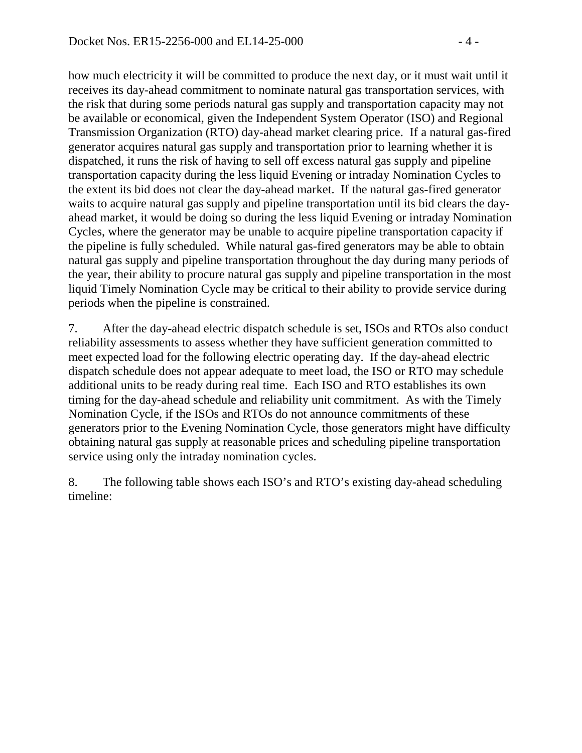how much electricity it will be committed to produce the next day, or it must wait until it receives its day-ahead commitment to nominate natural gas transportation services, with the risk that during some periods natural gas supply and transportation capacity may not be available or economical, given the Independent System Operator (ISO) and Regional Transmission Organization (RTO) day-ahead market clearing price. If a natural gas-fired generator acquires natural gas supply and transportation prior to learning whether it is dispatched, it runs the risk of having to sell off excess natural gas supply and pipeline transportation capacity during the less liquid Evening or intraday Nomination Cycles to the extent its bid does not clear the day-ahead market. If the natural gas-fired generator waits to acquire natural gas supply and pipeline transportation until its bid clears the dayahead market, it would be doing so during the less liquid Evening or intraday Nomination Cycles, where the generator may be unable to acquire pipeline transportation capacity if the pipeline is fully scheduled. While natural gas-fired generators may be able to obtain natural gas supply and pipeline transportation throughout the day during many periods of the year, their ability to procure natural gas supply and pipeline transportation in the most liquid Timely Nomination Cycle may be critical to their ability to provide service during periods when the pipeline is constrained.

7. After the day-ahead electric dispatch schedule is set, ISOs and RTOs also conduct reliability assessments to assess whether they have sufficient generation committed to meet expected load for the following electric operating day. If the day-ahead electric dispatch schedule does not appear adequate to meet load, the ISO or RTO may schedule additional units to be ready during real time. Each ISO and RTO establishes its own timing for the day-ahead schedule and reliability unit commitment. As with the Timely Nomination Cycle, if the ISOs and RTOs do not announce commitments of these generators prior to the Evening Nomination Cycle, those generators might have difficulty obtaining natural gas supply at reasonable prices and scheduling pipeline transportation service using only the intraday nomination cycles.

8. The following table shows each ISO's and RTO's existing day-ahead scheduling timeline: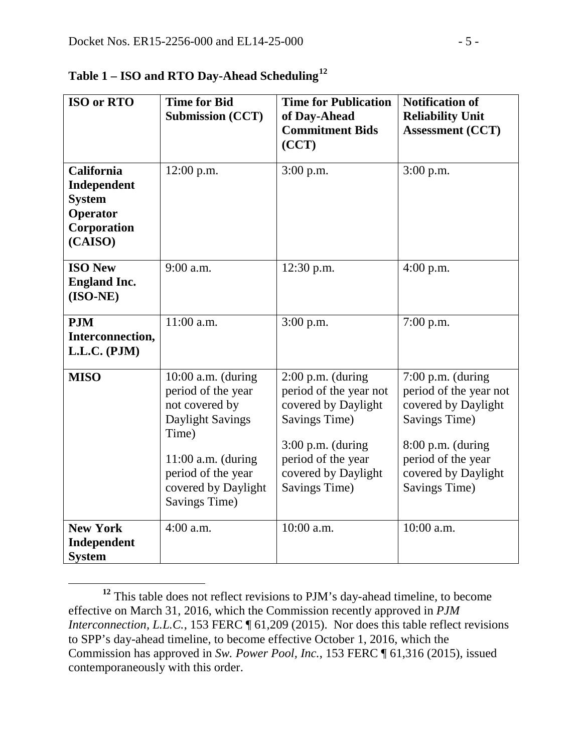| <b>ISO or RTO</b>                                                                       | <b>Time for Bid</b><br><b>Submission (CCT)</b>                                                                                                                                         | <b>Time for Publication</b><br>of Day-Ahead<br><b>Commitment Bids</b><br>(CCT)                                                                                             | <b>Notification of</b><br><b>Reliability Unit</b><br><b>Assessment (CCT)</b>                                                                                             |
|-----------------------------------------------------------------------------------------|----------------------------------------------------------------------------------------------------------------------------------------------------------------------------------------|----------------------------------------------------------------------------------------------------------------------------------------------------------------------------|--------------------------------------------------------------------------------------------------------------------------------------------------------------------------|
| <b>California</b><br>Independent<br><b>System</b><br>Operator<br>Corporation<br>(CAISO) | 12:00 p.m.                                                                                                                                                                             | $3:00$ p.m.                                                                                                                                                                | $3:00$ p.m.                                                                                                                                                              |
| <b>ISO New</b><br><b>England Inc.</b><br>$(ISO-NE)$                                     | 9:00 a.m.                                                                                                                                                                              | $12:30$ p.m.                                                                                                                                                               | 4:00 p.m.                                                                                                                                                                |
| <b>PJM</b><br>Interconnection,<br>L.L.C. (PJM)                                          | 11:00 a.m.                                                                                                                                                                             | $3:00$ p.m.                                                                                                                                                                | $7:00$ p.m.                                                                                                                                                              |
| <b>MISO</b>                                                                             | $10:00$ a.m. (during<br>period of the year<br>not covered by<br>Daylight Savings<br>Time)<br>$11:00$ a.m. (during<br>period of the year<br>covered by Daylight<br><b>Savings Time)</b> | $2:00$ p.m. (during<br>period of the year not<br>covered by Daylight<br>Savings Time)<br>$3:00$ p.m. (during<br>period of the year<br>covered by Daylight<br>Savings Time) | $7:00$ p.m. (during<br>period of the year not<br>covered by Daylight<br>Savings Time)<br>8:00 p.m. (during<br>period of the year<br>covered by Daylight<br>Savings Time) |
| <b>New York</b><br>Independent<br><b>System</b>                                         | $4:00$ a.m.                                                                                                                                                                            | 10:00 a.m.                                                                                                                                                                 | 10:00 a.m.                                                                                                                                                               |

**Table 1 – ISO and RTO Day-Ahead Scheduling[12](#page-4-0)**

<span id="page-4-0"></span>**<sup>12</sup>** This table does not reflect revisions to PJM's day-ahead timeline, to become effective on March 31, 2016, which the Commission recently approved in *PJM Interconnection, L.L.C.*, 153 FERC  $\parallel$  61,209 (2015). Nor does this table reflect revisions to SPP's day-ahead timeline, to become effective October 1, 2016, which the Commission has approved in *Sw. Power Pool, Inc.*, 153 FERC ¶ 61,316 (2015), issued contemporaneously with this order.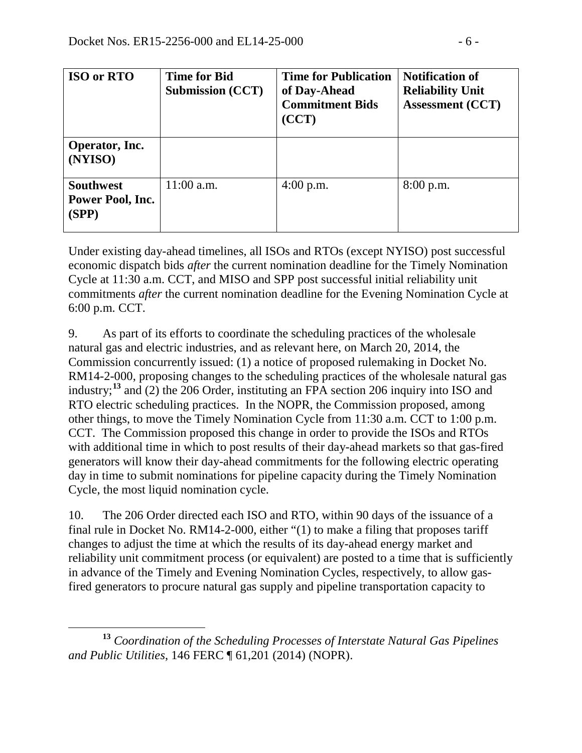| <b>ISO or RTO</b>                             | <b>Time for Bid</b><br><b>Submission (CCT)</b> | <b>Time for Publication</b><br>of Day-Ahead<br><b>Commitment Bids</b><br>(CCT) | <b>Notification of</b><br><b>Reliability Unit</b><br><b>Assessment (CCT)</b> |
|-----------------------------------------------|------------------------------------------------|--------------------------------------------------------------------------------|------------------------------------------------------------------------------|
| Operator, Inc.<br>(NYISO)                     |                                                |                                                                                |                                                                              |
| <b>Southwest</b><br>Power Pool, Inc.<br>(SPP) | $11:00$ a.m.                                   | $4:00$ p.m.                                                                    | 8:00 p.m.                                                                    |

Under existing day-ahead timelines, all ISOs and RTOs (except NYISO) post successful economic dispatch bids *after* the current nomination deadline for the Timely Nomination Cycle at 11:30 a.m. CCT, and MISO and SPP post successful initial reliability unit commitments *after* the current nomination deadline for the Evening Nomination Cycle at 6:00 p.m. CCT.

9. As part of its efforts to coordinate the scheduling practices of the wholesale natural gas and electric industries, and as relevant here, on March 20, 2014, the Commission concurrently issued: (1) a notice of proposed rulemaking in Docket No. RM14-2-000, proposing changes to the scheduling practices of the wholesale natural gas industry; **[13](#page-5-0)** and (2) the 206 Order, instituting an FPA section 206 inquiry into ISO and RTO electric scheduling practices. In the NOPR, the Commission proposed, among other things, to move the Timely Nomination Cycle from 11:30 a.m. CCT to 1:00 p.m. CCT. The Commission proposed this change in order to provide the ISOs and RTOs with additional time in which to post results of their day-ahead markets so that gas-fired generators will know their day-ahead commitments for the following electric operating day in time to submit nominations for pipeline capacity during the Timely Nomination Cycle, the most liquid nomination cycle.

10. The 206 Order directed each ISO and RTO, within 90 days of the issuance of a final rule in Docket No. RM14-2-000, either "(1) to make a filing that proposes tariff changes to adjust the time at which the results of its day-ahead energy market and reliability unit commitment process (or equivalent) are posted to a time that is sufficiently in advance of the Timely and Evening Nomination Cycles, respectively, to allow gasfired generators to procure natural gas supply and pipeline transportation capacity to

<span id="page-5-0"></span>**<sup>13</sup>** *Coordination of the Scheduling Processes of Interstate Natural Gas Pipelines and Public Utilities*, 146 FERC ¶ 61,201 (2014) (NOPR).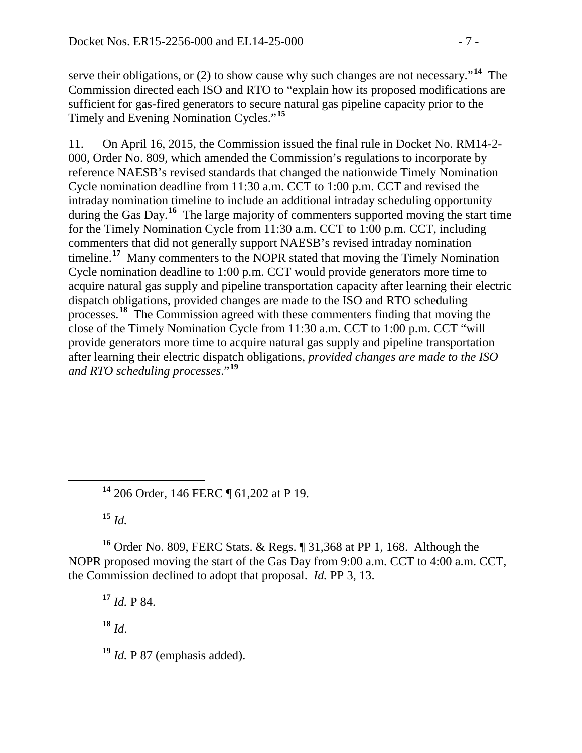serve their obligations, or (2) to show cause why such changes are not necessary."**[14](#page-6-0)** The Commission directed each ISO and RTO to "explain how its proposed modifications are sufficient for gas-fired generators to secure natural gas pipeline capacity prior to the Timely and Evening Nomination Cycles."**[15](#page-6-1)**

11. On April 16, 2015, the Commission issued the final rule in Docket No. RM14-2- 000, Order No. 809, which amended the Commission's regulations to incorporate by reference NAESB's revised standards that changed the nationwide Timely Nomination Cycle nomination deadline from 11:30 a.m. CCT to 1:00 p.m. CCT and revised the intraday nomination timeline to include an additional intraday scheduling opportunity during the Gas Day.<sup>[16](#page-6-2)</sup> The large majority of commenters supported moving the start time for the Timely Nomination Cycle from 11:30 a.m. CCT to 1:00 p.m. CCT, including commenters that did not generally support NAESB's revised intraday nomination timeline.**[17](#page-6-3)** Many commenters to the NOPR stated that moving the Timely Nomination Cycle nomination deadline to 1:00 p.m. CCT would provide generators more time to acquire natural gas supply and pipeline transportation capacity after learning their electric dispatch obligations, provided changes are made to the ISO and RTO scheduling processes.**[18](#page-6-4)** The Commission agreed with these commenters finding that moving the close of the Timely Nomination Cycle from 11:30 a.m. CCT to 1:00 p.m. CCT "will provide generators more time to acquire natural gas supply and pipeline transportation after learning their electric dispatch obligations, *provided changes are made to the ISO and RTO scheduling processes*."**[19](#page-6-5)**

**<sup>14</sup>** 206 Order, 146 FERC ¶ 61,202 at P 19.

**<sup>15</sup>** *Id.*

<span id="page-6-3"></span><span id="page-6-2"></span><span id="page-6-1"></span><span id="page-6-0"></span>**<sup>16</sup>** Order No. 809, FERC Stats. & Regs. ¶ 31,368 at PP 1, 168. Although the NOPR proposed moving the start of the Gas Day from 9:00 a.m. CCT to 4:00 a.m. CCT, the Commission declined to adopt that proposal. *Id.* PP 3, 13.

**<sup>17</sup>** *Id.* P 84.

<span id="page-6-4"></span>**<sup>18</sup>** *Id*.

<span id="page-6-5"></span>**<sup>19</sup>** *Id.* P 87 (emphasis added).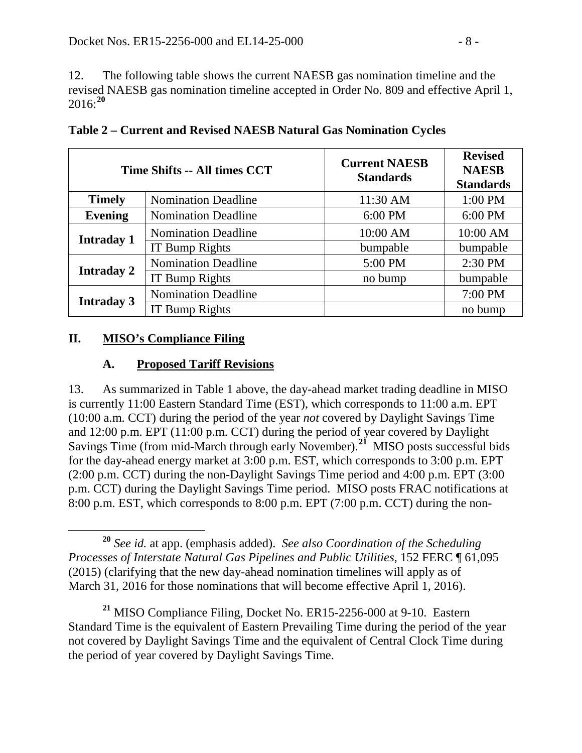12. The following table shows the current NAESB gas nomination timeline and the revised NAESB gas nomination timeline accepted in Order No. 809 and effective April 1, 2016: **[20](#page-7-0)**

|                   | Time Shifts -- All times CCT | <b>Current NAESB</b><br><b>Standards</b> | <b>Revised</b><br><b>NAESB</b><br><b>Standards</b> |
|-------------------|------------------------------|------------------------------------------|----------------------------------------------------|
| <b>Timely</b>     | <b>Nomination Deadline</b>   | 11:30 AM                                 | 1:00 PM                                            |
| <b>Evening</b>    | <b>Nomination Deadline</b>   | 6:00 PM                                  | 6:00 PM                                            |
| <b>Intraday 1</b> | <b>Nomination Deadline</b>   | 10:00 AM                                 | 10:00 AM                                           |
|                   | IT Bump Rights               | bumpable                                 | bumpable                                           |
| <b>Intraday 2</b> | <b>Nomination Deadline</b>   | 5:00 PM                                  | 2:30 PM                                            |
|                   | IT Bump Rights               | no bump                                  | bumpable                                           |
| <b>Intraday 3</b> | <b>Nomination Deadline</b>   |                                          | 7:00 PM                                            |
|                   | IT Bump Rights               |                                          | no bump                                            |

**Table 2 – Current and Revised NAESB Natural Gas Nomination Cycles**

### **II. MISO's Compliance Filing**

# **A. Proposed Tariff Revisions**

13. As summarized in Table 1 above, the day-ahead market trading deadline in MISO is currently 11:00 Eastern Standard Time (EST), which corresponds to 11:00 a.m. EPT (10:00 a.m. CCT) during the period of the year *not* covered by Daylight Savings Time and 12:00 p.m. EPT (11:00 p.m. CCT) during the period of year covered by Daylight Savings Time (from mid-March through early November).**[21](#page-7-1)** MISO posts successful bids for the day-ahead energy market at 3:00 p.m. EST, which corresponds to 3:00 p.m. EPT (2:00 p.m. CCT) during the non-Daylight Savings Time period and 4:00 p.m. EPT (3:00 p.m. CCT) during the Daylight Savings Time period. MISO posts FRAC notifications at 8:00 p.m. EST, which corresponds to 8:00 p.m. EPT (7:00 p.m. CCT) during the non-

<span id="page-7-0"></span>**<sup>20</sup>** *See id.* at app. (emphasis added). *See also Coordination of the Scheduling Processes of Interstate Natural Gas Pipelines and Public Utilities*, 152 FERC ¶ 61,095 (2015) (clarifying that the new day-ahead nomination timelines will apply as of March 31, 2016 for those nominations that will become effective April 1, 2016).

<span id="page-7-1"></span>**<sup>21</sup>** MISO Compliance Filing, Docket No. ER15-2256-000 at 9-10. Eastern Standard Time is the equivalent of Eastern Prevailing Time during the period of the year not covered by Daylight Savings Time and the equivalent of Central Clock Time during the period of year covered by Daylight Savings Time.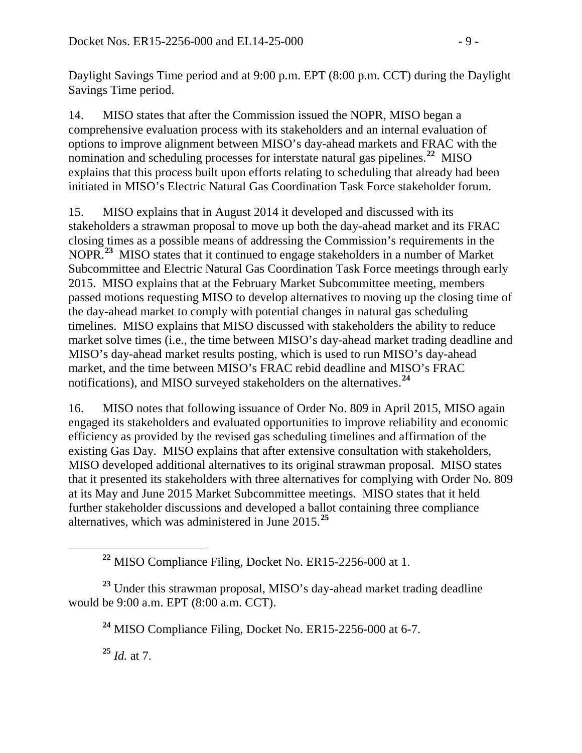Daylight Savings Time period and at 9:00 p.m. EPT (8:00 p.m. CCT) during the Daylight Savings Time period.

14. MISO states that after the Commission issued the NOPR, MISO began a comprehensive evaluation process with its stakeholders and an internal evaluation of options to improve alignment between MISO's day-ahead markets and FRAC with the nomination and scheduling processes for interstate natural gas pipelines. **[22](#page-8-0)** MISO explains that this process built upon efforts relating to scheduling that already had been initiated in MISO's Electric Natural Gas Coordination Task Force stakeholder forum.

15. MISO explains that in August 2014 it developed and discussed with its stakeholders a strawman proposal to move up both the day-ahead market and its FRAC closing times as a possible means of addressing the Commission's requirements in the NOPR.**[23](#page-8-1)** MISO states that it continued to engage stakeholders in a number of Market Subcommittee and Electric Natural Gas Coordination Task Force meetings through early 2015. MISO explains that at the February Market Subcommittee meeting, members passed motions requesting MISO to develop alternatives to moving up the closing time of the day-ahead market to comply with potential changes in natural gas scheduling timelines. MISO explains that MISO discussed with stakeholders the ability to reduce market solve times (i.e., the time between MISO's day-ahead market trading deadline and MISO's day-ahead market results posting, which is used to run MISO's day-ahead market, and the time between MISO's FRAC rebid deadline and MISO's FRAC notifications), and MISO surveyed stakeholders on the alternatives.**[24](#page-8-2)**

16. MISO notes that following issuance of Order No. 809 in April 2015, MISO again engaged its stakeholders and evaluated opportunities to improve reliability and economic efficiency as provided by the revised gas scheduling timelines and affirmation of the existing Gas Day. MISO explains that after extensive consultation with stakeholders, MISO developed additional alternatives to its original strawman proposal. MISO states that it presented its stakeholders with three alternatives for complying with Order No. 809 at its May and June 2015 Market Subcommittee meetings. MISO states that it held further stakeholder discussions and developed a ballot containing three compliance alternatives, which was administered in June 2015.**[25](#page-8-3)**

<span id="page-8-3"></span><span id="page-8-2"></span><span id="page-8-1"></span><span id="page-8-0"></span>**<sup>23</sup>** Under this strawman proposal, MISO's day-ahead market trading deadline would be 9:00 a.m. EPT (8:00 a.m. CCT).

**<sup>25</sup>** *Id.* at 7.

**<sup>22</sup>** MISO Compliance Filing, Docket No. ER15-2256-000 at 1.

**<sup>24</sup>** MISO Compliance Filing, Docket No. ER15-2256-000 at 6-7.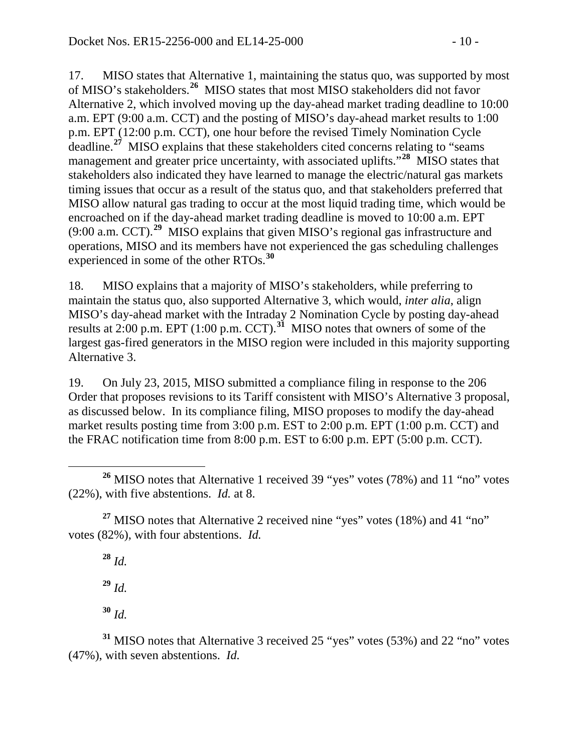17. MISO states that Alternative 1, maintaining the status quo, was supported by most of MISO's stakeholders. **[26](#page-9-0)** MISO states that most MISO stakeholders did not favor Alternative 2, which involved moving up the day-ahead market trading deadline to 10:00 a.m. EPT (9:00 a.m. CCT) and the posting of MISO's day-ahead market results to 1:00 p.m. EPT (12:00 p.m. CCT), one hour before the revised Timely Nomination Cycle deadline.<sup>[27](#page-9-1)</sup> MISO explains that these stakeholders cited concerns relating to "seams" management and greater price uncertainty, with associated uplifts."**[28](#page-9-2)** MISO states that stakeholders also indicated they have learned to manage the electric/natural gas markets timing issues that occur as a result of the status quo, and that stakeholders preferred that MISO allow natural gas trading to occur at the most liquid trading time, which would be encroached on if the day-ahead market trading deadline is moved to 10:00 a.m. EPT (9:00 a.m. CCT). **[29](#page-9-3)** MISO explains that given MISO's regional gas infrastructure and operations, MISO and its members have not experienced the gas scheduling challenges experienced in some of the other RTOs.**[30](#page-9-4)**

18. MISO explains that a majority of MISO's stakeholders, while preferring to maintain the status quo, also supported Alternative 3, which would, *inter alia*, align MISO's day-ahead market with the Intraday 2 Nomination Cycle by posting day-ahead results at 2:00 p.m. EPT (1:00 p.m. CCT). **[31](#page-9-5)** MISO notes that owners of some of the largest gas-fired generators in the MISO region were included in this majority supporting Alternative 3.

19. On July 23, 2015, MISO submitted a compliance filing in response to the 206 Order that proposes revisions to its Tariff consistent with MISO's Alternative 3 proposal, as discussed below. In its compliance filing, MISO proposes to modify the day-ahead market results posting time from 3:00 p.m. EST to 2:00 p.m. EPT (1:00 p.m. CCT) and the FRAC notification time from 8:00 p.m. EST to 6:00 p.m. EPT (5:00 p.m. CCT).

<span id="page-9-2"></span><span id="page-9-1"></span><sup>27</sup> MISO notes that Alternative 2 received nine "yes" votes (18%) and 41 "no" votes (82%), with four abstentions. *Id.*

**<sup>28</sup>** *Id.*

**<sup>29</sup>** *Id.*

**<sup>30</sup>** *Id.*

<span id="page-9-5"></span><span id="page-9-4"></span><span id="page-9-3"></span>**<sup>31</sup>** MISO notes that Alternative 3 received 25 "yes" votes (53%) and 22 "no" votes (47%), with seven abstentions. *Id.*

<span id="page-9-0"></span><sup>&</sup>lt;sup>26</sup> MISO notes that Alternative 1 received 39 "yes" votes (78%) and 11 "no" votes (22%), with five abstentions. *Id.* at 8.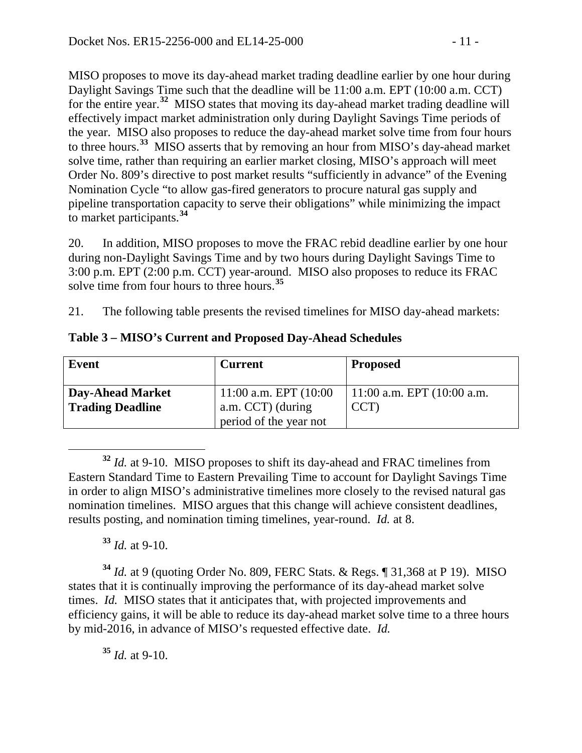MISO proposes to move its day-ahead market trading deadline earlier by one hour during Daylight Savings Time such that the deadline will be 11:00 a.m. EPT (10:00 a.m. CCT) for the entire year. **[32](#page-10-0)** MISO states that moving its day-ahead market trading deadline will effectively impact market administration only during Daylight Savings Time periods of the year. MISO also proposes to reduce the day-ahead market solve time from four hours to three hours.**[33](#page-10-1)** MISO asserts that by removing an hour from MISO's day-ahead market solve time, rather than requiring an earlier market closing, MISO's approach will meet Order No. 809's directive to post market results "sufficiently in advance" of the Evening Nomination Cycle "to allow gas-fired generators to procure natural gas supply and pipeline transportation capacity to serve their obligations" while minimizing the impact to market participants.**[34](#page-10-2)**

20. In addition, MISO proposes to move the FRAC rebid deadline earlier by one hour during non-Daylight Savings Time and by two hours during Daylight Savings Time to 3:00 p.m. EPT (2:00 p.m. CCT) year-around. MISO also proposes to reduce its FRAC solve time from four hours to three hours.**[35](#page-10-3)**

21. The following table presents the revised timelines for MISO day-ahead markets:

| <b>Event</b>            | <b>Current</b>           | <b>Proposed</b>                 |
|-------------------------|--------------------------|---------------------------------|
| <b>Day-Ahead Market</b> | 11:00 a.m. EPT $(10:00)$ | $11:00$ a.m. EPT $(10:00)$ a.m. |
| <b>Trading Deadline</b> | a.m. CCT) (during        | CCT)                            |
|                         | period of the year not   |                                 |

**Table 3 – MISO's Current and Proposed Day-Ahead Schedules**

<span id="page-10-0"></span> **<sup>32</sup>** *Id.* at 9-10. MISO proposes to shift its day-ahead and FRAC timelines from Eastern Standard Time to Eastern Prevailing Time to account for Daylight Savings Time in order to align MISO's administrative timelines more closely to the revised natural gas nomination timelines. MISO argues that this change will achieve consistent deadlines, results posting, and nomination timing timelines, year-round. *Id.* at 8.

**<sup>33</sup>** *Id.* at 9-10.

<span id="page-10-2"></span><span id="page-10-1"></span>**<sup>34</sup>** *Id.* at 9 (quoting Order No. 809, FERC Stats. & Regs. ¶ 31,368 at P 19). MISO states that it is continually improving the performance of its day-ahead market solve times. *Id.* MISO states that it anticipates that, with projected improvements and efficiency gains, it will be able to reduce its day-ahead market solve time to a three hours by mid-2016, in advance of MISO's requested effective date. *Id.*

<span id="page-10-3"></span>**<sup>35</sup>** *Id.* at 9-10.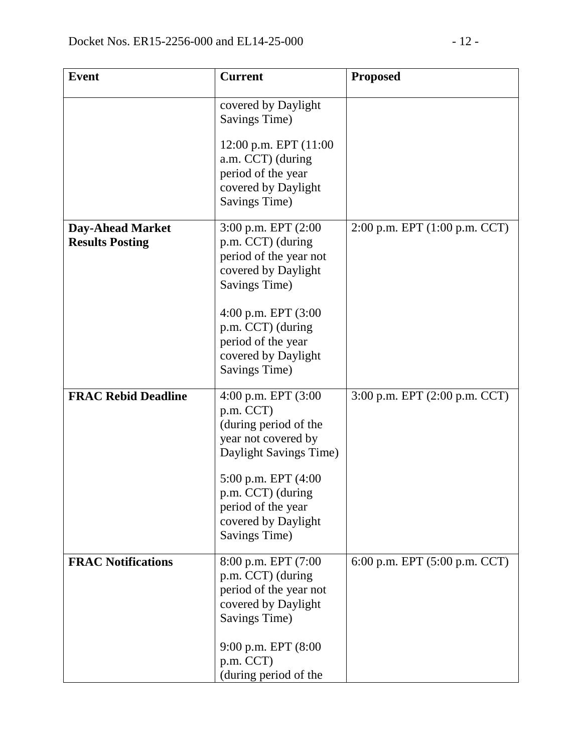| <b>Event</b>                                      | <b>Current</b>                                                                                                     | <b>Proposed</b>               |
|---------------------------------------------------|--------------------------------------------------------------------------------------------------------------------|-------------------------------|
|                                                   | covered by Daylight<br>Savings Time)                                                                               |                               |
|                                                   | 12:00 p.m. EPT $(11:00)$<br>a.m. CCT) (during<br>period of the year<br>covered by Daylight<br><b>Savings Time)</b> |                               |
| <b>Day-Ahead Market</b><br><b>Results Posting</b> | 3:00 p.m. EPT (2:00<br>p.m. CCT) (during<br>period of the year not<br>covered by Daylight<br>Savings Time)         | 2:00 p.m. EPT (1:00 p.m. CCT) |
|                                                   | 4:00 p.m. EPT $(3:00)$<br>p.m. CCT) (during<br>period of the year<br>covered by Daylight<br>Savings Time)          |                               |
| <b>FRAC Rebid Deadline</b>                        | 4:00 p.m. EPT $(3:00)$<br>p.m. CCT)<br>(during period of the<br>year not covered by<br>Daylight Savings Time)      | 3:00 p.m. EPT (2:00 p.m. CCT) |
|                                                   | 5:00 p.m. EPT (4:00<br>p.m. CCT) (during<br>period of the year<br>covered by Daylight<br>Savings Time)             |                               |
| <b>FRAC Notifications</b>                         | 8:00 p.m. EPT (7:00<br>p.m. CCT) (during<br>period of the year not<br>covered by Daylight<br>Savings Time)         | 6:00 p.m. EPT (5:00 p.m. CCT) |
|                                                   | 9:00 p.m. EPT (8:00<br>p.m. CCT)<br>(during period of the                                                          |                               |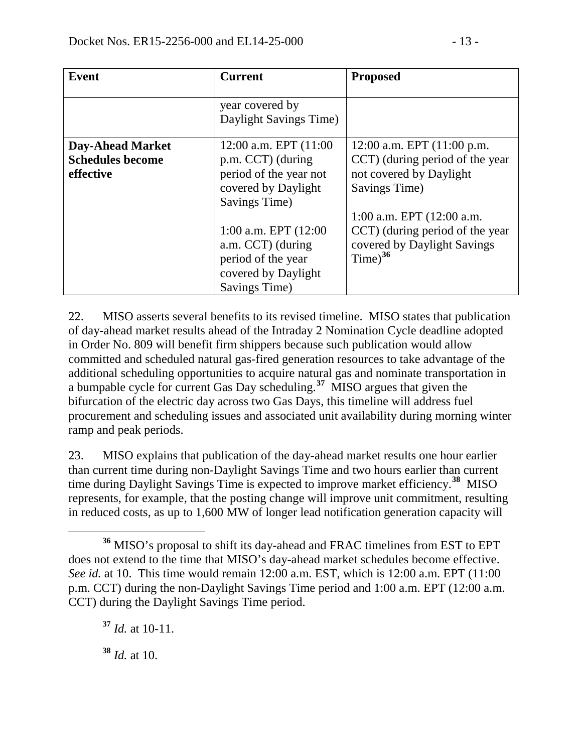| <b>Event</b>                                                    | <b>Current</b>                                                                                                                                                                                                                  | <b>Proposed</b>                                                                                                                                                                                                                       |
|-----------------------------------------------------------------|---------------------------------------------------------------------------------------------------------------------------------------------------------------------------------------------------------------------------------|---------------------------------------------------------------------------------------------------------------------------------------------------------------------------------------------------------------------------------------|
|                                                                 | year covered by<br>Daylight Savings Time)                                                                                                                                                                                       |                                                                                                                                                                                                                                       |
| <b>Day-Ahead Market</b><br><b>Schedules become</b><br>effective | $12:00$ a.m. EPT $(11:00)$<br>p.m. CCT) (during<br>period of the year not<br>covered by Daylight<br>Savings Time)<br>1:00 a.m. EPT $(12:00)$<br>a.m. CCT) (during<br>period of the year<br>covered by Daylight<br>Savings Time) | 12:00 a.m. EPT $(11:00 \text{ p.m.})$<br>CCT) (during period of the year<br>not covered by Daylight<br>Savings Time)<br>1:00 a.m. EPT $(12:00$ a.m.<br>CCT) (during period of the year<br>covered by Daylight Savings<br>$Time)^{36}$ |

22. MISO asserts several benefits to its revised timeline. MISO states that publication of day-ahead market results ahead of the Intraday 2 Nomination Cycle deadline adopted in Order No. 809 will benefit firm shippers because such publication would allow committed and scheduled natural gas-fired generation resources to take advantage of the additional scheduling opportunities to acquire natural gas and nominate transportation in a bumpable cycle for current Gas Day scheduling. **[37](#page-12-1)** MISO argues that given the bifurcation of the electric day across two Gas Days, this timeline will address fuel procurement and scheduling issues and associated unit availability during morning winter ramp and peak periods.

23. MISO explains that publication of the day-ahead market results one hour earlier than current time during non-Daylight Savings Time and two hours earlier than current time during Daylight Savings Time is expected to improve market efficiency.**[38](#page-12-2)** MISO represents, for example, that the posting change will improve unit commitment, resulting in reduced costs, as up to 1,600 MW of longer lead notification generation capacity will

<span id="page-12-2"></span>**<sup>38</sup>** *Id.* at 10.

<span id="page-12-0"></span>**<sup>36</sup>** MISO's proposal to shift its day-ahead and FRAC timelines from EST to EPT does not extend to the time that MISO's day-ahead market schedules become effective. *See id.* at 10. This time would remain 12:00 a.m. EST, which is 12:00 a.m. EPT (11:00 p.m. CCT) during the non-Daylight Savings Time period and 1:00 a.m. EPT (12:00 a.m. CCT) during the Daylight Savings Time period.

<span id="page-12-1"></span>**<sup>37</sup>** *Id.* at 10-11.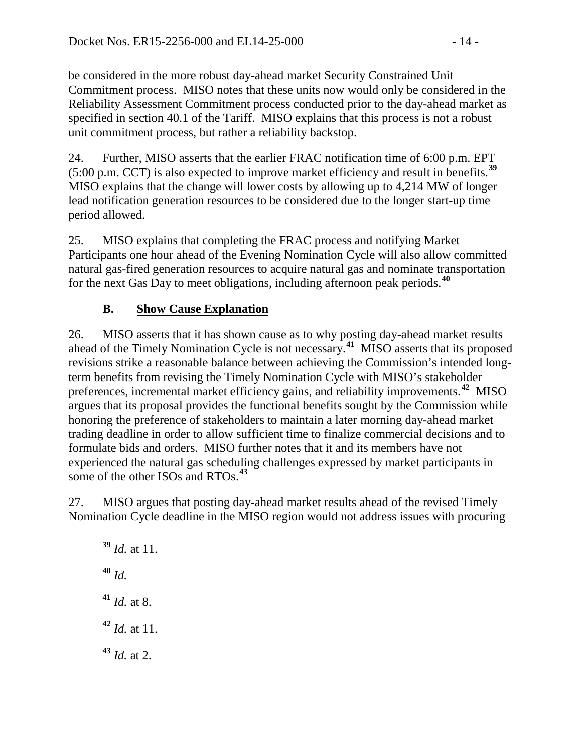be considered in the more robust day-ahead market Security Constrained Unit Commitment process. MISO notes that these units now would only be considered in the Reliability Assessment Commitment process conducted prior to the day-ahead market as specified in section 40.1 of the Tariff. MISO explains that this process is not a robust unit commitment process, but rather a reliability backstop.

24. Further, MISO asserts that the earlier FRAC notification time of 6:00 p.m. EPT (5:00 p.m. CCT) is also expected to improve market efficiency and result in benefits.**[39](#page-13-0)** MISO explains that the change will lower costs by allowing up to 4,214 MW of longer lead notification generation resources to be considered due to the longer start-up time period allowed.

25. MISO explains that completing the FRAC process and notifying Market Participants one hour ahead of the Evening Nomination Cycle will also allow committed natural gas-fired generation resources to acquire natural gas and nominate transportation for the next Gas Day to meet obligations, including afternoon peak periods.**[40](#page-13-1)**

# **B. Show Cause Explanation**

26. MISO asserts that it has shown cause as to why posting day-ahead market results ahead of the Timely Nomination Cycle is not necessary.**[41](#page-13-2)** MISO asserts that its proposed revisions strike a reasonable balance between achieving the Commission's intended longterm benefits from revising the Timely Nomination Cycle with MISO's stakeholder preferences, incremental market efficiency gains, and reliability improvements.**[42](#page-13-3)** MISO argues that its proposal provides the functional benefits sought by the Commission while honoring the preference of stakeholders to maintain a later morning day-ahead market trading deadline in order to allow sufficient time to finalize commercial decisions and to formulate bids and orders. MISO further notes that it and its members have not experienced the natural gas scheduling challenges expressed by market participants in some of the other ISOs and RTOs. **[43](#page-13-4)**

<span id="page-13-1"></span><span id="page-13-0"></span>27. MISO argues that posting day-ahead market results ahead of the revised Timely Nomination Cycle deadline in the MISO region would not address issues with procuring

<span id="page-13-4"></span><span id="page-13-3"></span><span id="page-13-2"></span> **<sup>39</sup>** *Id.* at 11. **<sup>40</sup>** *Id.* **<sup>41</sup>** *Id.* at 8. **<sup>42</sup>** *Id.* at 11. **<sup>43</sup>** *Id.* at 2.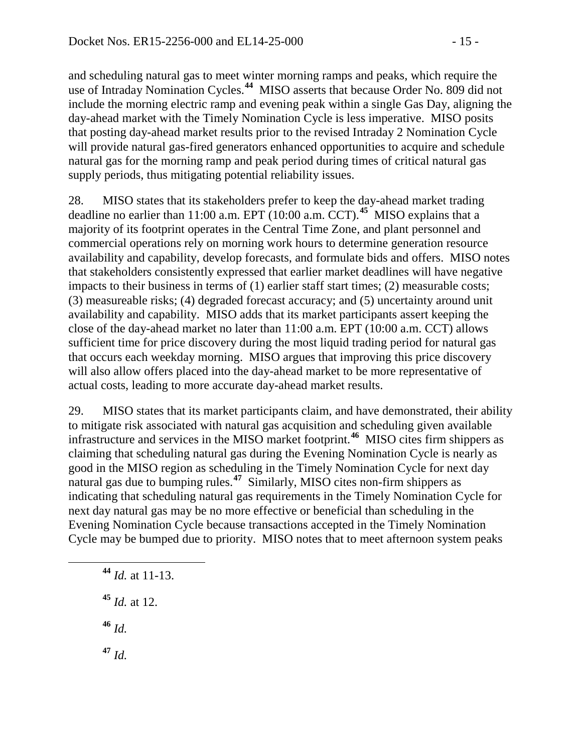and scheduling natural gas to meet winter morning ramps and peaks, which require the use of Intraday Nomination Cycles. **[44](#page-14-0)** MISO asserts that because Order No. 809 did not include the morning electric ramp and evening peak within a single Gas Day, aligning the day-ahead market with the Timely Nomination Cycle is less imperative. MISO posits that posting day-ahead market results prior to the revised Intraday 2 Nomination Cycle will provide natural gas-fired generators enhanced opportunities to acquire and schedule natural gas for the morning ramp and peak period during times of critical natural gas supply periods, thus mitigating potential reliability issues.

28. MISO states that its stakeholders prefer to keep the day-ahead market trading deadline no earlier than 11:00 a.m. EPT (10:00 a.m. CCT). **[45](#page-14-1)** MISO explains that a majority of its footprint operates in the Central Time Zone, and plant personnel and commercial operations rely on morning work hours to determine generation resource availability and capability, develop forecasts, and formulate bids and offers. MISO notes that stakeholders consistently expressed that earlier market deadlines will have negative impacts to their business in terms of (1) earlier staff start times; (2) measurable costs; (3) measureable risks; (4) degraded forecast accuracy; and (5) uncertainty around unit availability and capability. MISO adds that its market participants assert keeping the close of the day-ahead market no later than 11:00 a.m. EPT (10:00 a.m. CCT) allows sufficient time for price discovery during the most liquid trading period for natural gas that occurs each weekday morning. MISO argues that improving this price discovery will also allow offers placed into the day-ahead market to be more representative of actual costs, leading to more accurate day-ahead market results.

29. MISO states that its market participants claim, and have demonstrated, their ability to mitigate risk associated with natural gas acquisition and scheduling given available infrastructure and services in the MISO market footprint.**[46](#page-14-2)** MISO cites firm shippers as claiming that scheduling natural gas during the Evening Nomination Cycle is nearly as good in the MISO region as scheduling in the Timely Nomination Cycle for next day natural gas due to bumping rules.**[47](#page-14-3)** Similarly, MISO cites non-firm shippers as indicating that scheduling natural gas requirements in the Timely Nomination Cycle for next day natural gas may be no more effective or beneficial than scheduling in the Evening Nomination Cycle because transactions accepted in the Timely Nomination Cycle may be bumped due to priority. MISO notes that to meet afternoon system peaks

- <span id="page-14-0"></span>**<sup>44</sup>** *Id.* at 11-13.
- <span id="page-14-1"></span>**<sup>45</sup>** *Id.* at 12.
- <span id="page-14-2"></span>**<sup>46</sup>** *Id.*
- <span id="page-14-3"></span>**<sup>47</sup>** *Id.*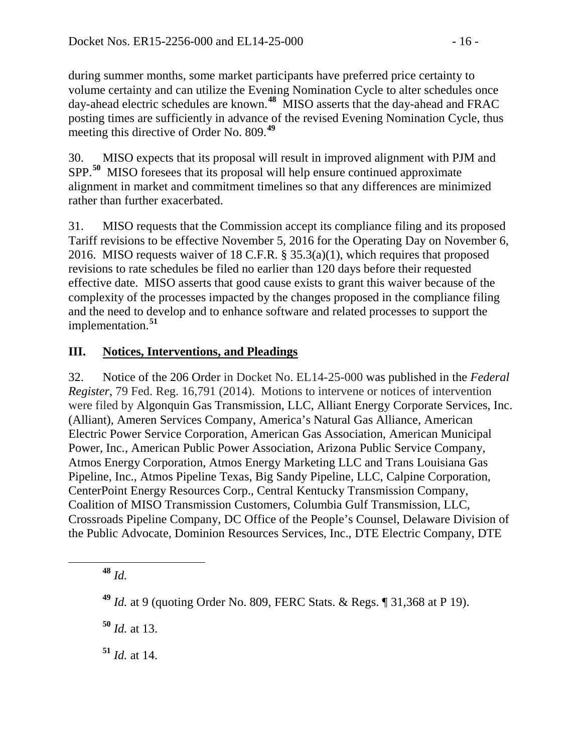during summer months, some market participants have preferred price certainty to volume certainty and can utilize the Evening Nomination Cycle to alter schedules once day-ahead electric schedules are known.**[48](#page-15-0)** MISO asserts that the day-ahead and FRAC posting times are sufficiently in advance of the revised Evening Nomination Cycle, thus meeting this directive of Order No. 809. **[49](#page-15-1)**

30. MISO expects that its proposal will result in improved alignment with PJM and SPP.**[50](#page-15-2)** MISO foresees that its proposal will help ensure continued approximate alignment in market and commitment timelines so that any differences are minimized rather than further exacerbated.

31. MISO requests that the Commission accept its compliance filing and its proposed Tariff revisions to be effective November 5, 2016 for the Operating Day on November 6, 2016. MISO requests waiver of 18 C.F.R. § 35.3(a)(1), which requires that proposed revisions to rate schedules be filed no earlier than 120 days before their requested effective date. MISO asserts that good cause exists to grant this waiver because of the complexity of the processes impacted by the changes proposed in the compliance filing and the need to develop and to enhance software and related processes to support the implementation.**[51](#page-15-3)**

# **III. Notices, Interventions, and Pleadings**

32. Notice of the 206 Order in Docket No. EL14-25-000 was published in the *Federal Register*, 79 Fed. Reg. 16,791 (2014). Motions to intervene or notices of intervention were filed by Algonquin Gas Transmission, LLC, Alliant Energy Corporate Services, Inc. (Alliant), Ameren Services Company, America's Natural Gas Alliance, American Electric Power Service Corporation, American Gas Association, American Municipal Power, Inc., American Public Power Association, Arizona Public Service Company, Atmos Energy Corporation, Atmos Energy Marketing LLC and Trans Louisiana Gas Pipeline, Inc., Atmos Pipeline Texas, Big Sandy Pipeline, LLC, Calpine Corporation, CenterPoint Energy Resources Corp., Central Kentucky Transmission Company, Coalition of MISO Transmission Customers, Columbia Gulf Transmission, LLC, Crossroads Pipeline Company, DC Office of the People's Counsel, Delaware Division of the Public Advocate, Dominion Resources Services, Inc., DTE Electric Company, DTE

<span id="page-15-0"></span>**<sup>48</sup>** *Id.*

<span id="page-15-2"></span>**<sup>50</sup>** *Id.* at 13.

<span id="page-15-3"></span>**<sup>51</sup>** *Id.* at 14.

<span id="page-15-1"></span>**<sup>49</sup>** *Id.* at 9 (quoting Order No. 809, FERC Stats. & Regs. ¶ 31,368 at P 19).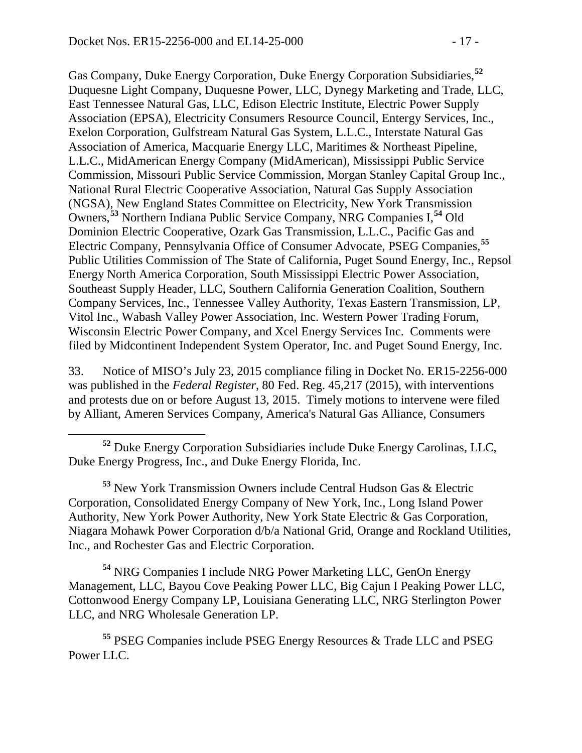Gas Company, Duke Energy Corporation, Duke Energy Corporation Subsidiaries,**[52](#page-16-0)** Duquesne Light Company, Duquesne Power, LLC, Dynegy Marketing and Trade, LLC, East Tennessee Natural Gas, LLC, Edison Electric Institute, Electric Power Supply Association (EPSA), Electricity Consumers Resource Council, Entergy Services, Inc., Exelon Corporation, Gulfstream Natural Gas System, L.L.C., Interstate Natural Gas Association of America, Macquarie Energy LLC, Maritimes & Northeast Pipeline, L.L.C., MidAmerican Energy Company (MidAmerican), Mississippi Public Service Commission, Missouri Public Service Commission, Morgan Stanley Capital Group Inc., National Rural Electric Cooperative Association, Natural Gas Supply Association (NGSA), New England States Committee on Electricity, New York Transmission Owners, **[53](#page-16-1)** Northern Indiana Public Service Company, NRG Companies I, **[54](#page-16-2)** Old Dominion Electric Cooperative, Ozark Gas Transmission, L.L.C., Pacific Gas and Electric Company, Pennsylvania Office of Consumer Advocate, PSEG Companies, **[55](#page-16-3)** Public Utilities Commission of The State of California, Puget Sound Energy, Inc., Repsol Energy North America Corporation, South Mississippi Electric Power Association, Southeast Supply Header, LLC, Southern California Generation Coalition, Southern Company Services, Inc., Tennessee Valley Authority, Texas Eastern Transmission, LP, Vitol Inc., Wabash Valley Power Association, Inc. Western Power Trading Forum, Wisconsin Electric Power Company, and Xcel Energy Services Inc. Comments were filed by Midcontinent Independent System Operator, Inc. and Puget Sound Energy, Inc.

33. Notice of MISO's July 23, 2015 compliance filing in Docket No. ER15-2256-000 was published in the *Federal Register*, 80 Fed. Reg. 45,217 (2015), with interventions and protests due on or before August 13, 2015. Timely motions to intervene were filed by Alliant, Ameren Services Company, America's Natural Gas Alliance, Consumers

<span id="page-16-1"></span>**<sup>53</sup>** New York Transmission Owners include Central Hudson Gas & Electric Corporation, Consolidated Energy Company of New York, Inc., Long Island Power Authority, New York Power Authority, New York State Electric & Gas Corporation, Niagara Mohawk Power Corporation d/b/a National Grid, Orange and Rockland Utilities, Inc., and Rochester Gas and Electric Corporation.

<span id="page-16-2"></span>**<sup>54</sup>** NRG Companies I include NRG Power Marketing LLC, GenOn Energy Management, LLC, Bayou Cove Peaking Power LLC, Big Cajun I Peaking Power LLC, Cottonwood Energy Company LP, Louisiana Generating LLC, NRG Sterlington Power LLC, and NRG Wholesale Generation LP.

<span id="page-16-3"></span>**<sup>55</sup>** PSEG Companies include PSEG Energy Resources & Trade LLC and PSEG Power LLC.

<span id="page-16-0"></span>**<sup>52</sup>** Duke Energy Corporation Subsidiaries include Duke Energy Carolinas, LLC, Duke Energy Progress, Inc., and Duke Energy Florida, Inc.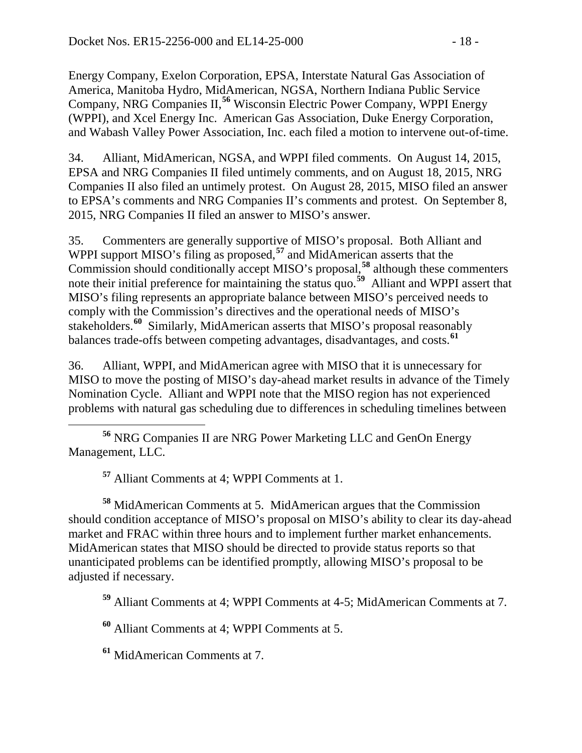Energy Company, Exelon Corporation, EPSA, Interstate Natural Gas Association of America, Manitoba Hydro, MidAmerican, NGSA, Northern Indiana Public Service Company, NRG Companies II,**[56](#page-17-0)** Wisconsin Electric Power Company, WPPI Energy (WPPI), and Xcel Energy Inc. American Gas Association, Duke Energy Corporation, and Wabash Valley Power Association, Inc. each filed a motion to intervene out-of-time.

34. Alliant, MidAmerican, NGSA, and WPPI filed comments. On August 14, 2015, EPSA and NRG Companies II filed untimely comments, and on August 18, 2015, NRG Companies II also filed an untimely protest. On August 28, 2015, MISO filed an answer to EPSA's comments and NRG Companies II's comments and protest. On September 8, 2015, NRG Companies II filed an answer to MISO's answer.

35. Commenters are generally supportive of MISO's proposal. Both Alliant and WPPI support MISO's filing as proposed,<sup>[57](#page-17-1)</sup> and MidAmerican asserts that the Commission should conditionally accept MISO's proposal,**[58](#page-17-2)** although these commenters note their initial preference for maintaining the status quo.**[59](#page-17-3)** Alliant and WPPI assert that MISO's filing represents an appropriate balance between MISO's perceived needs to comply with the Commission's directives and the operational needs of MISO's stakeholders.**[60](#page-17-4)** Similarly, MidAmerican asserts that MISO's proposal reasonably balances trade-offs between competing advantages, disadvantages, and costs.**[61](#page-17-5)**

36. Alliant, WPPI, and MidAmerican agree with MISO that it is unnecessary for MISO to move the posting of MISO's day-ahead market results in advance of the Timely Nomination Cycle. Alliant and WPPI note that the MISO region has not experienced problems with natural gas scheduling due to differences in scheduling timelines between

<span id="page-17-0"></span> **<sup>56</sup>** NRG Companies II are NRG Power Marketing LLC and GenOn Energy Management, LLC.

**<sup>57</sup>** Alliant Comments at 4; WPPI Comments at 1.

<span id="page-17-2"></span><span id="page-17-1"></span>**<sup>58</sup>** MidAmerican Comments at 5. MidAmerican argues that the Commission should condition acceptance of MISO's proposal on MISO's ability to clear its day-ahead market and FRAC within three hours and to implement further market enhancements. MidAmerican states that MISO should be directed to provide status reports so that unanticipated problems can be identified promptly, allowing MISO's proposal to be adjusted if necessary.

<span id="page-17-3"></span>**<sup>59</sup>** Alliant Comments at 4; WPPI Comments at 4-5; MidAmerican Comments at 7.

<span id="page-17-4"></span>**<sup>60</sup>** Alliant Comments at 4; WPPI Comments at 5.

<span id="page-17-5"></span>**<sup>61</sup>** MidAmerican Comments at 7.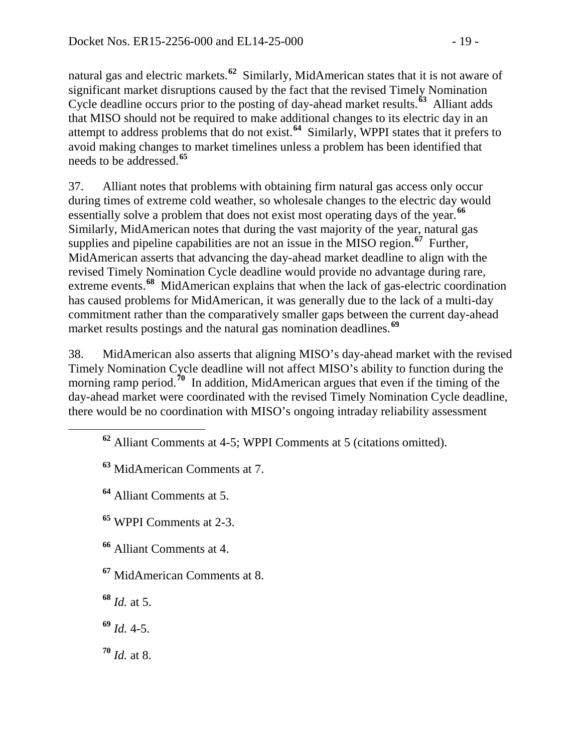natural gas and electric markets. **[62](#page-18-0)** Similarly, MidAmerican states that it is not aware of significant market disruptions caused by the fact that the revised Timely Nomination Cycle deadline occurs prior to the posting of day-ahead market results.**[63](#page-18-1)** Alliant adds that MISO should not be required to make additional changes to its electric day in an attempt to address problems that do not exist.**[64](#page-18-2)** Similarly, WPPI states that it prefers to avoid making changes to market timelines unless a problem has been identified that needs to be addressed.**[65](#page-18-3)**

37. Alliant notes that problems with obtaining firm natural gas access only occur during times of extreme cold weather, so wholesale changes to the electric day would essentially solve a problem that does not exist most operating days of the year.**[66](#page-18-4)** Similarly, MidAmerican notes that during the vast majority of the year, natural gas supplies and pipeline capabilities are not an issue in the MISO region.**[67](#page-18-5)** Further, MidAmerican asserts that advancing the day-ahead market deadline to align with the revised Timely Nomination Cycle deadline would provide no advantage during rare, extreme events.<sup>[68](#page-18-6)</sup> MidAmerican explains that when the lack of gas-electric coordination has caused problems for MidAmerican, it was generally due to the lack of a multi-day commitment rather than the comparatively smaller gaps between the current day-ahead market results postings and the natural gas nomination deadlines.**[69](#page-18-7)**

38. MidAmerican also asserts that aligning MISO's day-ahead market with the revised Timely Nomination Cycle deadline will not affect MISO's ability to function during the morning ramp period.<sup>[70](#page-18-8)</sup> In addition, MidAmerican argues that even if the timing of the day-ahead market were coordinated with the revised Timely Nomination Cycle deadline, there would be no coordination with MISO's ongoing intraday reliability assessment

<span id="page-18-0"></span>**<sup>62</sup>** Alliant Comments at 4-5; WPPI Comments at 5 (citations omitted).

<span id="page-18-1"></span>**<sup>63</sup>** MidAmerican Comments at 7.

<span id="page-18-2"></span>**<sup>64</sup>** Alliant Comments at 5.

<span id="page-18-3"></span>**<sup>65</sup>** WPPI Comments at 2-3.

<span id="page-18-4"></span>**<sup>66</sup>** Alliant Comments at 4.

<span id="page-18-5"></span>**<sup>67</sup>** MidAmerican Comments at 8.

<span id="page-18-6"></span>**<sup>68</sup>** *Id.* at 5.

<span id="page-18-7"></span>**<sup>69</sup>** *Id.* 4-5.

<span id="page-18-8"></span>**<sup>70</sup>** *Id.* at 8.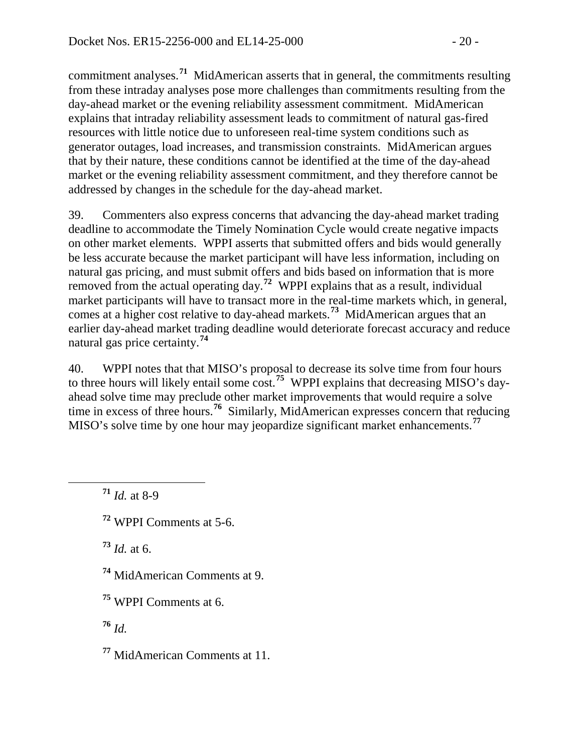commitment analyses.**[71](#page-19-0)** MidAmerican asserts that in general, the commitments resulting from these intraday analyses pose more challenges than commitments resulting from the day-ahead market or the evening reliability assessment commitment. MidAmerican explains that intraday reliability assessment leads to commitment of natural gas-fired resources with little notice due to unforeseen real-time system conditions such as generator outages, load increases, and transmission constraints. MidAmerican argues that by their nature, these conditions cannot be identified at the time of the day-ahead market or the evening reliability assessment commitment, and they therefore cannot be addressed by changes in the schedule for the day-ahead market.

39. Commenters also express concerns that advancing the day-ahead market trading deadline to accommodate the Timely Nomination Cycle would create negative impacts on other market elements. WPPI asserts that submitted offers and bids would generally be less accurate because the market participant will have less information, including on natural gas pricing, and must submit offers and bids based on information that is more removed from the actual operating day.<sup>[72](#page-19-1)</sup> WPPI explains that as a result, individual market participants will have to transact more in the real-time markets which, in general, comes at a higher cost relative to day-ahead markets.**[73](#page-19-2)** MidAmerican argues that an earlier day-ahead market trading deadline would deteriorate forecast accuracy and reduce natural gas price certainty.**[74](#page-19-3)**

40. WPPI notes that that MISO's proposal to decrease its solve time from four hours to three hours will likely entail some cost.**[75](#page-19-4)** WPPI explains that decreasing MISO's dayahead solve time may preclude other market improvements that would require a solve time in excess of three hours.<sup>[76](#page-19-5)</sup> Similarly, MidAmerican expresses concern that reducing MISO's solve time by one hour may jeopardize significant market enhancements.**[77](#page-19-6)**

<span id="page-19-0"></span>**<sup>71</sup>** *Id.* at 8-9

<span id="page-19-1"></span>**<sup>72</sup>** WPPI Comments at 5-6.

<span id="page-19-2"></span>**<sup>73</sup>** *Id.* at 6.

<span id="page-19-3"></span>**<sup>74</sup>** MidAmerican Comments at 9.

<span id="page-19-4"></span>**<sup>75</sup>** WPPI Comments at 6.

<span id="page-19-5"></span>**<sup>76</sup>** *Id.*

<span id="page-19-6"></span>**<sup>77</sup>** MidAmerican Comments at 11.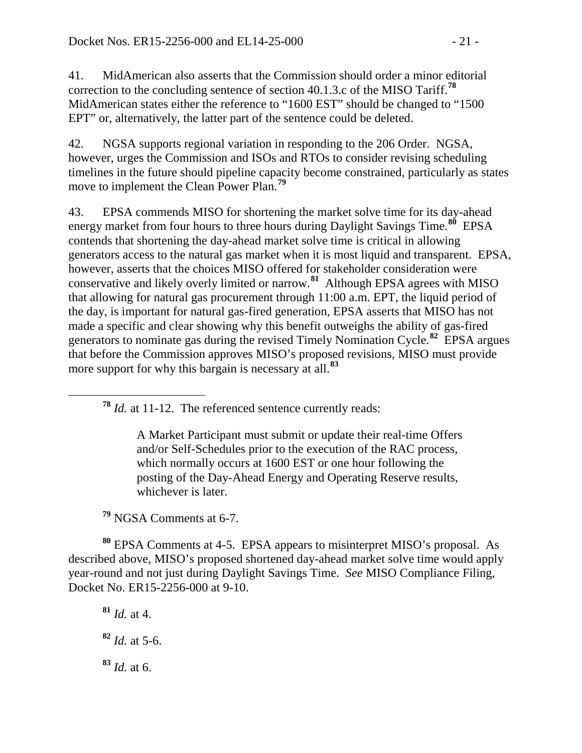41. MidAmerican also asserts that the Commission should order a minor editorial correction to the concluding sentence of section 40.1.3.c of the MISO Tariff.**[78](#page-20-0)** MidAmerican states either the reference to "1600 EST" should be changed to "1500 EPT" or, alternatively, the latter part of the sentence could be deleted.

42. NGSA supports regional variation in responding to the 206 Order. NGSA, however, urges the Commission and ISOs and RTOs to consider revising scheduling timelines in the future should pipeline capacity become constrained, particularly as states move to implement the Clean Power Plan.**[79](#page-20-1)**

43. EPSA commends MISO for shortening the market solve time for its day-ahead energy market from four hours to three hours during Daylight Savings Time.**[80](#page-20-2)** EPSA contends that shortening the day-ahead market solve time is critical in allowing generators access to the natural gas market when it is most liquid and transparent. EPSA, however, asserts that the choices MISO offered for stakeholder consideration were conservative and likely overly limited or narrow.**[81](#page-20-3)** Although EPSA agrees with MISO that allowing for natural gas procurement through 11:00 a.m. EPT, the liquid period of the day, is important for natural gas-fired generation, EPSA asserts that MISO has not made a specific and clear showing why this benefit outweighs the ability of gas-fired generators to nominate gas during the revised Timely Nomination Cycle. **[82](#page-20-4)** EPSA argues that before the Commission approves MISO's proposed revisions, MISO must provide more support for why this bargain is necessary at all. **[83](#page-20-5)**

<span id="page-20-0"></span>**<sup>78</sup>** *Id.* at 11-12. The referenced sentence currently reads:

A Market Participant must submit or update their real-time Offers and/or Self-Schedules prior to the execution of the RAC process, which normally occurs at 1600 EST or one hour following the posting of the Day-Ahead Energy and Operating Reserve results, whichever is later.

**<sup>79</sup>** NGSA Comments at 6-7.

<span id="page-20-3"></span><span id="page-20-2"></span><span id="page-20-1"></span>**<sup>80</sup>** EPSA Comments at 4-5. EPSA appears to misinterpret MISO's proposal. As described above, MISO's proposed shortened day-ahead market solve time would apply year-round and not just during Daylight Savings Time. *See* MISO Compliance Filing, Docket No. ER15-2256-000 at 9-10.

<span id="page-20-5"></span><span id="page-20-4"></span>**<sup>81</sup>** *Id.* at 4. **<sup>82</sup>** *Id.* at 5-6. **<sup>83</sup>** *Id.* at 6.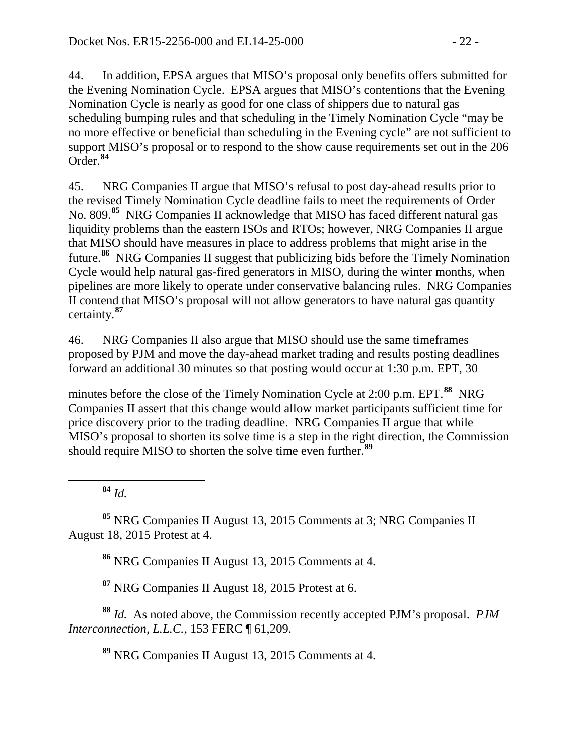44. In addition, EPSA argues that MISO's proposal only benefits offers submitted for the Evening Nomination Cycle. EPSA argues that MISO's contentions that the Evening Nomination Cycle is nearly as good for one class of shippers due to natural gas scheduling bumping rules and that scheduling in the Timely Nomination Cycle "may be no more effective or beneficial than scheduling in the Evening cycle" are not sufficient to support MISO's proposal or to respond to the show cause requirements set out in the 206 Order.**[84](#page-21-0)**

45. NRG Companies II argue that MISO's refusal to post day-ahead results prior to the revised Timely Nomination Cycle deadline fails to meet the requirements of Order No. 809.**[85](#page-21-1)** NRG Companies II acknowledge that MISO has faced different natural gas liquidity problems than the eastern ISOs and RTOs; however, NRG Companies II argue that MISO should have measures in place to address problems that might arise in the future.**[86](#page-21-2)** NRG Companies II suggest that publicizing bids before the Timely Nomination Cycle would help natural gas-fired generators in MISO, during the winter months, when pipelines are more likely to operate under conservative balancing rules. NRG Companies II contend that MISO's proposal will not allow generators to have natural gas quantity certainty.**[87](#page-21-3)**

46. NRG Companies II also argue that MISO should use the same timeframes proposed by PJM and move the day-ahead market trading and results posting deadlines forward an additional 30 minutes so that posting would occur at 1:30 p.m. EPT, 30

minutes before the close of the Timely Nomination Cycle at 2:00 p.m. EPT. **[88](#page-21-4)** NRG Companies II assert that this change would allow market participants sufficient time for price discovery prior to the trading deadline. NRG Companies II argue that while MISO's proposal to shorten its solve time is a step in the right direction, the Commission should require MISO to shorten the solve time even further.**[89](#page-21-5)**

**<sup>84</sup>** *Id.*

<span id="page-21-2"></span><span id="page-21-1"></span><span id="page-21-0"></span>**<sup>85</sup>** NRG Companies II August 13, 2015 Comments at 3; NRG Companies II August 18, 2015 Protest at 4.

**<sup>86</sup>** NRG Companies II August 13, 2015 Comments at 4.

**<sup>87</sup>** NRG Companies II August 18, 2015 Protest at 6.

<span id="page-21-5"></span><span id="page-21-4"></span><span id="page-21-3"></span>**<sup>88</sup>** *Id.* As noted above, the Commission recently accepted PJM's proposal. *PJM Interconnection, L.L.C.*, 153 FERC ¶ 61,209.

**<sup>89</sup>** NRG Companies II August 13, 2015 Comments at 4.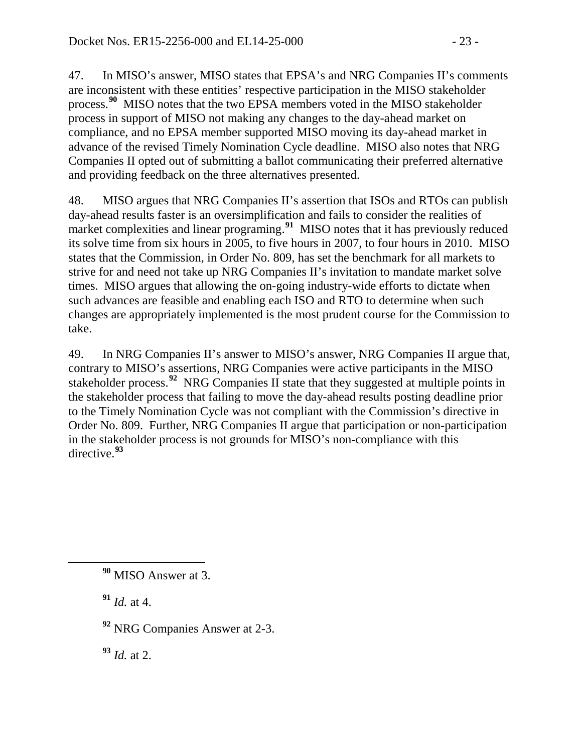47. In MISO's answer, MISO states that EPSA's and NRG Companies II's comments are inconsistent with these entities' respective participation in the MISO stakeholder process. **[90](#page-22-0)** MISO notes that the two EPSA members voted in the MISO stakeholder process in support of MISO not making any changes to the day-ahead market on compliance, and no EPSA member supported MISO moving its day-ahead market in advance of the revised Timely Nomination Cycle deadline. MISO also notes that NRG Companies II opted out of submitting a ballot communicating their preferred alternative and providing feedback on the three alternatives presented.

48. MISO argues that NRG Companies II's assertion that ISOs and RTOs can publish day-ahead results faster is an oversimplification and fails to consider the realities of market complexities and linear programing.<sup>[91](#page-22-1)</sup> MISO notes that it has previously reduced its solve time from six hours in 2005, to five hours in 2007, to four hours in 2010. MISO states that the Commission, in Order No. 809, has set the benchmark for all markets to strive for and need not take up NRG Companies II's invitation to mandate market solve times. MISO argues that allowing the on-going industry-wide efforts to dictate when such advances are feasible and enabling each ISO and RTO to determine when such changes are appropriately implemented is the most prudent course for the Commission to take.

49. In NRG Companies II's answer to MISO's answer, NRG Companies II argue that, contrary to MISO's assertions, NRG Companies were active participants in the MISO stakeholder process.**[92](#page-22-2)** NRG Companies II state that they suggested at multiple points in the stakeholder process that failing to move the day-ahead results posting deadline prior to the Timely Nomination Cycle was not compliant with the Commission's directive in Order No. 809. Further, NRG Companies II argue that participation or non-participation in the stakeholder process is not grounds for MISO's non-compliance with this directive.**[93](#page-22-3)**

<span id="page-22-1"></span>**<sup>91</sup>** *Id.* at 4.

<span id="page-22-2"></span>**<sup>92</sup>** NRG Companies Answer at 2-3.

<span id="page-22-3"></span>**<sup>93</sup>** *Id.* at 2.

<span id="page-22-0"></span>**<sup>90</sup>** MISO Answer at 3.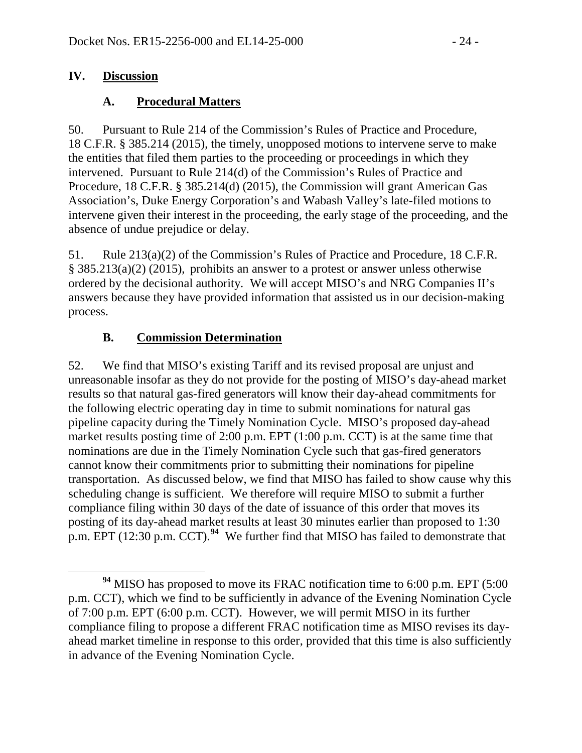#### **IV. Discussion**

### **A. Procedural Matters**

50. Pursuant to Rule 214 of the Commission's Rules of Practice and Procedure, 18 C.F.R. § 385.214 (2015), the timely, unopposed motions to intervene serve to make the entities that filed them parties to the proceeding or proceedings in which they intervened. Pursuant to Rule 214(d) of the Commission's Rules of Practice and Procedure, 18 C.F.R. § 385.214(d) (2015), the Commission will grant American Gas Association's, Duke Energy Corporation's and Wabash Valley's late-filed motions to intervene given their interest in the proceeding, the early stage of the proceeding, and the absence of undue prejudice or delay.

51. Rule 213(a)(2) of the Commission's Rules of Practice and Procedure, 18 C.F.R. § 385.213(a)(2) (2015), prohibits an answer to a protest or answer unless otherwise ordered by the decisional authority. We will accept MISO's and NRG Companies II's answers because they have provided information that assisted us in our decision-making process.

### **B. Commission Determination**

52. We find that MISO's existing Tariff and its revised proposal are unjust and unreasonable insofar as they do not provide for the posting of MISO's day-ahead market results so that natural gas-fired generators will know their day-ahead commitments for the following electric operating day in time to submit nominations for natural gas pipeline capacity during the Timely Nomination Cycle. MISO's proposed day-ahead market results posting time of 2:00 p.m. EPT (1:00 p.m. CCT) is at the same time that nominations are due in the Timely Nomination Cycle such that gas-fired generators cannot know their commitments prior to submitting their nominations for pipeline transportation. As discussed below, we find that MISO has failed to show cause why this scheduling change is sufficient. We therefore will require MISO to submit a further compliance filing within 30 days of the date of issuance of this order that moves its posting of its day-ahead market results at least 30 minutes earlier than proposed to 1:30 p.m. EPT (12:30 p.m. CCT).**[94](#page-23-0)** We further find that MISO has failed to demonstrate that

<span id="page-23-0"></span>**<sup>94</sup>** MISO has proposed to move its FRAC notification time to 6:00 p.m. EPT (5:00 p.m. CCT), which we find to be sufficiently in advance of the Evening Nomination Cycle of 7:00 p.m. EPT (6:00 p.m. CCT). However, we will permit MISO in its further compliance filing to propose a different FRAC notification time as MISO revises its dayahead market timeline in response to this order, provided that this time is also sufficiently in advance of the Evening Nomination Cycle.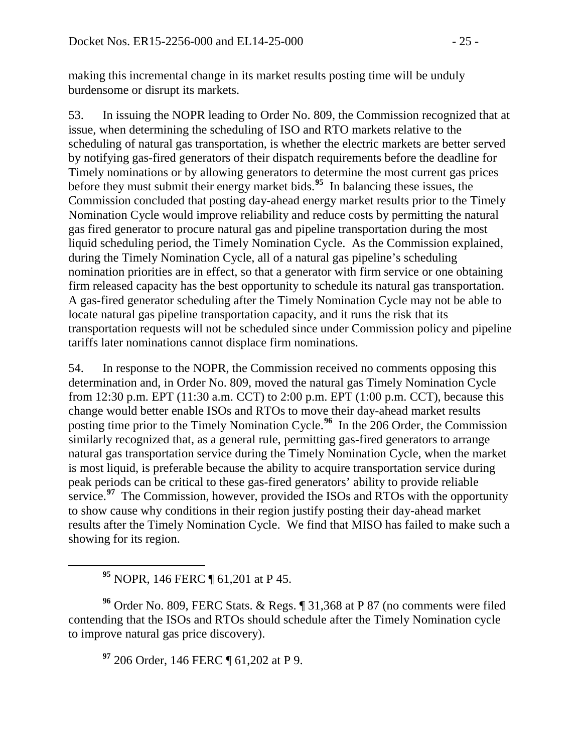making this incremental change in its market results posting time will be unduly burdensome or disrupt its markets.

53. In issuing the NOPR leading to Order No. 809, the Commission recognized that at issue, when determining the scheduling of ISO and RTO markets relative to the scheduling of natural gas transportation, is whether the electric markets are better served by notifying gas-fired generators of their dispatch requirements before the deadline for Timely nominations or by allowing generators to determine the most current gas prices before they must submit their energy market bids. **[95](#page-24-0)** In balancing these issues, the Commission concluded that posting day-ahead energy market results prior to the Timely Nomination Cycle would improve reliability and reduce costs by permitting the natural gas fired generator to procure natural gas and pipeline transportation during the most liquid scheduling period, the Timely Nomination Cycle. As the Commission explained, during the Timely Nomination Cycle, all of a natural gas pipeline's scheduling nomination priorities are in effect, so that a generator with firm service or one obtaining firm released capacity has the best opportunity to schedule its natural gas transportation. A gas-fired generator scheduling after the Timely Nomination Cycle may not be able to locate natural gas pipeline transportation capacity, and it runs the risk that its transportation requests will not be scheduled since under Commission policy and pipeline tariffs later nominations cannot displace firm nominations.

54. In response to the NOPR, the Commission received no comments opposing this determination and, in Order No. 809, moved the natural gas Timely Nomination Cycle from 12:30 p.m. EPT (11:30 a.m. CCT) to 2:00 p.m. EPT (1:00 p.m. CCT), because this change would better enable ISOs and RTOs to move their day-ahead market results posting time prior to the Timely Nomination Cycle.**[96](#page-24-1)** In the 206 Order, the Commission similarly recognized that, as a general rule, permitting gas-fired generators to arrange natural gas transportation service during the Timely Nomination Cycle, when the market is most liquid, is preferable because the ability to acquire transportation service during peak periods can be critical to these gas-fired generators' ability to provide reliable service.<sup>[97](#page-24-2)</sup> The Commission, however, provided the ISOs and RTOs with the opportunity to show cause why conditions in their region justify posting their day-ahead market results after the Timely Nomination Cycle. We find that MISO has failed to make such a showing for its region.

**<sup>95</sup>** NOPR, 146 FERC ¶ 61,201 at P 45.

<span id="page-24-2"></span><span id="page-24-1"></span><span id="page-24-0"></span>**<sup>96</sup>** Order No. 809, FERC Stats. & Regs. ¶ 31,368 at P 87 (no comments were filed contending that the ISOs and RTOs should schedule after the Timely Nomination cycle to improve natural gas price discovery).

**<sup>97</sup>** 206 Order, 146 FERC ¶ 61,202 at P 9.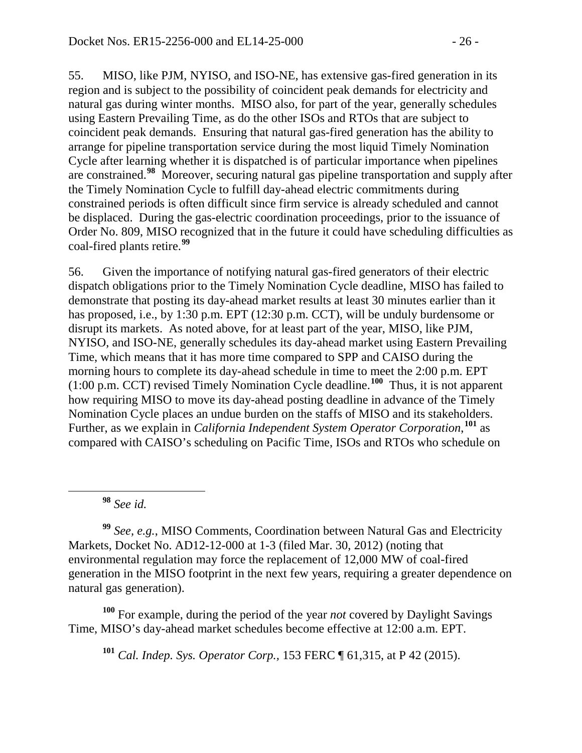55. MISO, like PJM, NYISO, and ISO-NE, has extensive gas-fired generation in its region and is subject to the possibility of coincident peak demands for electricity and natural gas during winter months. MISO also, for part of the year, generally schedules using Eastern Prevailing Time, as do the other ISOs and RTOs that are subject to coincident peak demands. Ensuring that natural gas-fired generation has the ability to arrange for pipeline transportation service during the most liquid Timely Nomination Cycle after learning whether it is dispatched is of particular importance when pipelines are constrained. **[98](#page-25-0)** Moreover, securing natural gas pipeline transportation and supply after the Timely Nomination Cycle to fulfill day-ahead electric commitments during constrained periods is often difficult since firm service is already scheduled and cannot be displaced. During the gas-electric coordination proceedings, prior to the issuance of Order No. 809, MISO recognized that in the future it could have scheduling difficulties as coal-fired plants retire.**[99](#page-25-1)**

56. Given the importance of notifying natural gas-fired generators of their electric dispatch obligations prior to the Timely Nomination Cycle deadline, MISO has failed to demonstrate that posting its day-ahead market results at least 30 minutes earlier than it has proposed, i.e., by 1:30 p.m. EPT (12:30 p.m. CCT), will be unduly burdensome or disrupt its markets. As noted above, for at least part of the year, MISO, like PJM, NYISO, and ISO-NE, generally schedules its day-ahead market using Eastern Prevailing Time, which means that it has more time compared to SPP and CAISO during the morning hours to complete its day-ahead schedule in time to meet the 2:00 p.m. EPT (1:00 p.m. CCT) revised Timely Nomination Cycle deadline. **[100](#page-25-2)** Thus, it is not apparent how requiring MISO to move its day-ahead posting deadline in advance of the Timely Nomination Cycle places an undue burden on the staffs of MISO and its stakeholders. Further, as we explain in *California Independent System Operator Corporation*, **[101](#page-25-3)** as compared with CAISO's scheduling on Pacific Time, ISOs and RTOs who schedule on

**<sup>98</sup>** *See id.*

<span id="page-25-1"></span><span id="page-25-0"></span>**<sup>99</sup>** *See, e.g.*, MISO Comments, Coordination between Natural Gas and Electricity Markets, Docket No. AD12-12-000 at 1-3 (filed Mar. 30, 2012) (noting that environmental regulation may force the replacement of 12,000 MW of coal-fired generation in the MISO footprint in the next few years, requiring a greater dependence on natural gas generation).

<span id="page-25-3"></span><span id="page-25-2"></span>**<sup>100</sup>** For example, during the period of the year *not* covered by Daylight Savings Time, MISO's day-ahead market schedules become effective at 12:00 a.m. EPT.

**<sup>101</sup>** *Cal. Indep. Sys. Operator Corp.,* 153 FERC ¶ 61,315, at P 42 (2015).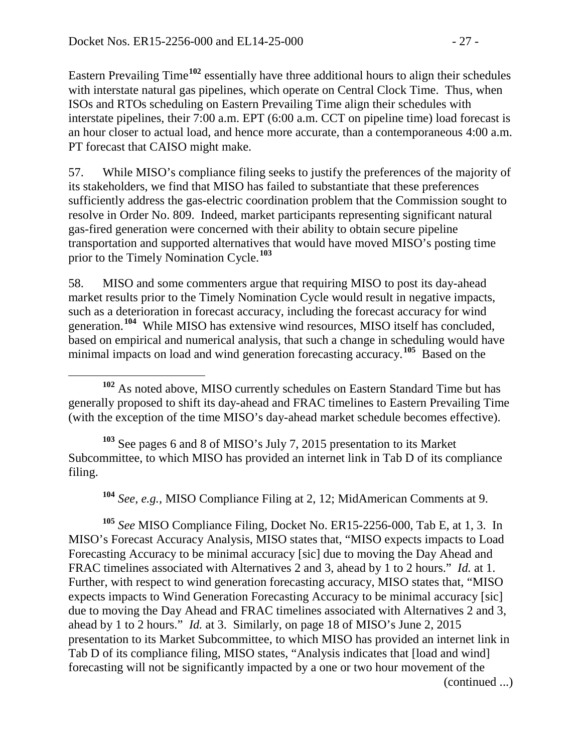Eastern Prevailing Time**[102](#page-26-0)** essentially have three additional hours to align their schedules with interstate natural gas pipelines, which operate on Central Clock Time. Thus, when ISOs and RTOs scheduling on Eastern Prevailing Time align their schedules with interstate pipelines, their 7:00 a.m. EPT (6:00 a.m. CCT on pipeline time) load forecast is an hour closer to actual load, and hence more accurate, than a contemporaneous 4:00 a.m. PT forecast that CAISO might make.

57. While MISO's compliance filing seeks to justify the preferences of the majority of its stakeholders, we find that MISO has failed to substantiate that these preferences sufficiently address the gas-electric coordination problem that the Commission sought to resolve in Order No. 809. Indeed, market participants representing significant natural gas-fired generation were concerned with their ability to obtain secure pipeline transportation and supported alternatives that would have moved MISO's posting time prior to the Timely Nomination Cycle.**[103](#page-26-1)**

58. MISO and some commenters argue that requiring MISO to post its day-ahead market results prior to the Timely Nomination Cycle would result in negative impacts, such as a deterioration in forecast accuracy, including the forecast accuracy for wind generation. **[104](#page-26-2)** While MISO has extensive wind resources, MISO itself has concluded, based on empirical and numerical analysis, that such a change in scheduling would have minimal impacts on load and wind generation forecasting accuracy.**[105](#page-26-3)** Based on the

<span id="page-26-1"></span>**<sup>103</sup>** See pages 6 and 8 of MISO's July 7, 2015 presentation to its Market Subcommittee, to which MISO has provided an internet link in Tab D of its compliance filing.

**<sup>104</sup>** *See, e.g.,* MISO Compliance Filing at 2, 12; MidAmerican Comments at 9.

<span id="page-26-3"></span><span id="page-26-2"></span>**<sup>105</sup>** *See* MISO Compliance Filing, Docket No. ER15-2256-000, Tab E, at 1, 3. In MISO's Forecast Accuracy Analysis, MISO states that, "MISO expects impacts to Load Forecasting Accuracy to be minimal accuracy [sic] due to moving the Day Ahead and FRAC timelines associated with Alternatives 2 and 3, ahead by 1 to 2 hours." *Id.* at 1. Further, with respect to wind generation forecasting accuracy, MISO states that, "MISO expects impacts to Wind Generation Forecasting Accuracy to be minimal accuracy [sic] due to moving the Day Ahead and FRAC timelines associated with Alternatives 2 and 3, ahead by 1 to 2 hours." *Id.* at 3. Similarly, on page 18 of MISO's June 2, 2015 presentation to its Market Subcommittee, to which MISO has provided an internet link in Tab D of its compliance filing, MISO states, "Analysis indicates that [load and wind] forecasting will not be significantly impacted by a one or two hour movement of the

(continued ...)

<span id="page-26-0"></span>**<sup>102</sup>** As noted above, MISO currently schedules on Eastern Standard Time but has generally proposed to shift its day-ahead and FRAC timelines to Eastern Prevailing Time (with the exception of the time MISO's day-ahead market schedule becomes effective).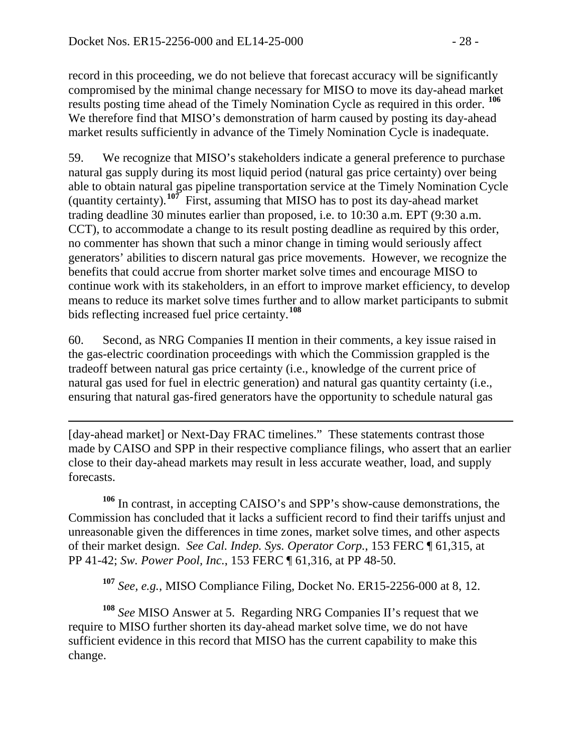record in this proceeding, we do not believe that forecast accuracy will be significantly compromised by the minimal change necessary for MISO to move its day-ahead market results posting time ahead of the Timely Nomination Cycle as required in this order. **[106](#page-27-0)** We therefore find that MISO's demonstration of harm caused by posting its day-ahead market results sufficiently in advance of the Timely Nomination Cycle is inadequate.

59. We recognize that MISO's stakeholders indicate a general preference to purchase natural gas supply during its most liquid period (natural gas price certainty) over being able to obtain natural gas pipeline transportation service at the Timely Nomination Cycle (quantity certainty). **[107](#page-27-1)** First, assuming that MISO has to post its day-ahead market trading deadline 30 minutes earlier than proposed, i.e. to 10:30 a.m. EPT (9:30 a.m. CCT), to accommodate a change to its result posting deadline as required by this order, no commenter has shown that such a minor change in timing would seriously affect generators' abilities to discern natural gas price movements. However, we recognize the benefits that could accrue from shorter market solve times and encourage MISO to continue work with its stakeholders, in an effort to improve market efficiency, to develop means to reduce its market solve times further and to allow market participants to submit bids reflecting increased fuel price certainty. **[108](#page-27-2)**

60. Second, as NRG Companies II mention in their comments, a key issue raised in the gas-electric coordination proceedings with which the Commission grappled is the tradeoff between natural gas price certainty (i.e., knowledge of the current price of natural gas used for fuel in electric generation) and natural gas quantity certainty (i.e., ensuring that natural gas-fired generators have the opportunity to schedule natural gas

 $\overline{a}$ [day-ahead market] or Next-Day FRAC timelines." These statements contrast those made by CAISO and SPP in their respective compliance filings, who assert that an earlier close to their day-ahead markets may result in less accurate weather, load, and supply forecasts.

<span id="page-27-0"></span>**<sup>106</sup>** In contrast, in accepting CAISO's and SPP's show-cause demonstrations, the Commission has concluded that it lacks a sufficient record to find their tariffs unjust and unreasonable given the differences in time zones, market solve times, and other aspects of their market design. *See Cal. Indep. Sys. Operator Corp.*, 153 FERC ¶ 61,315, at PP 41-42; *Sw. Power Pool, Inc.*, 153 FERC ¶ 61,316, at PP 48-50.

**<sup>107</sup>** *See, e.g.*, MISO Compliance Filing, Docket No. ER15-2256-000 at 8, 12.

<span id="page-27-2"></span><span id="page-27-1"></span>**<sup>108</sup>** *See* MISO Answer at 5. Regarding NRG Companies II's request that we require to MISO further shorten its day-ahead market solve time, we do not have sufficient evidence in this record that MISO has the current capability to make this change.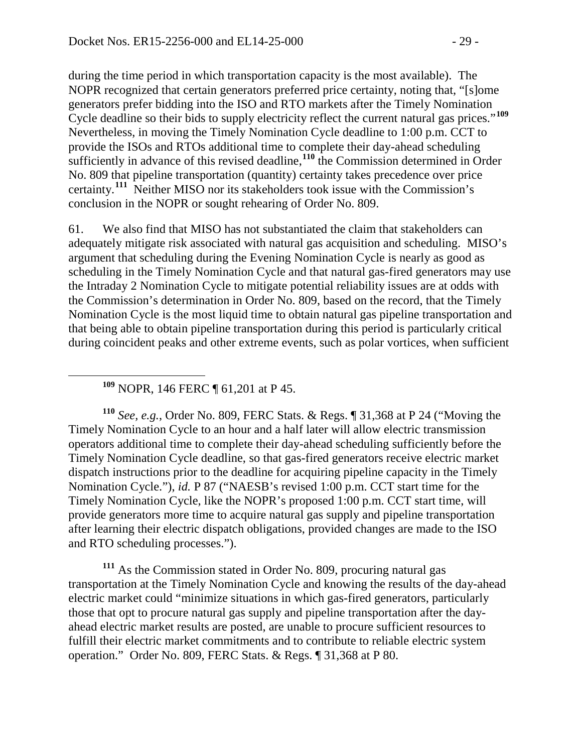during the time period in which transportation capacity is the most available). The NOPR recognized that certain generators preferred price certainty, noting that, "[s]ome generators prefer bidding into the ISO and RTO markets after the Timely Nomination Cycle deadline so their bids to supply electricity reflect the current natural gas prices."**[109](#page-28-0)** Nevertheless, in moving the Timely Nomination Cycle deadline to 1:00 p.m. CCT to provide the ISOs and RTOs additional time to complete their day-ahead scheduling sufficiently in advance of this revised deadline,<sup>[110](#page-28-1)</sup> the Commission determined in Order No. 809 that pipeline transportation (quantity) certainty takes precedence over price certainty.<sup>[111](#page-28-2)</sup> Neither MISO nor its stakeholders took issue with the Commission's conclusion in the NOPR or sought rehearing of Order No. 809.

61. We also find that MISO has not substantiated the claim that stakeholders can adequately mitigate risk associated with natural gas acquisition and scheduling. MISO's argument that scheduling during the Evening Nomination Cycle is nearly as good as scheduling in the Timely Nomination Cycle and that natural gas-fired generators may use the Intraday 2 Nomination Cycle to mitigate potential reliability issues are at odds with the Commission's determination in Order No. 809, based on the record, that the Timely Nomination Cycle is the most liquid time to obtain natural gas pipeline transportation and that being able to obtain pipeline transportation during this period is particularly critical during coincident peaks and other extreme events, such as polar vortices, when sufficient

**<sup>109</sup>** NOPR, 146 FERC ¶ 61,201 at P 45.

<span id="page-28-1"></span><span id="page-28-0"></span>**<sup>110</sup>** *See, e.g.*, Order No. 809, FERC Stats. & Regs. ¶ 31,368 at P 24 ("Moving the Timely Nomination Cycle to an hour and a half later will allow electric transmission operators additional time to complete their day-ahead scheduling sufficiently before the Timely Nomination Cycle deadline, so that gas-fired generators receive electric market dispatch instructions prior to the deadline for acquiring pipeline capacity in the Timely Nomination Cycle."), *id.* P 87 ("NAESB's revised 1:00 p.m. CCT start time for the Timely Nomination Cycle, like the NOPR's proposed 1:00 p.m. CCT start time, will provide generators more time to acquire natural gas supply and pipeline transportation after learning their electric dispatch obligations, provided changes are made to the ISO and RTO scheduling processes.").

<span id="page-28-2"></span>**<sup>111</sup>** As the Commission stated in Order No. 809, procuring natural gas transportation at the Timely Nomination Cycle and knowing the results of the day-ahead electric market could "minimize situations in which gas-fired generators, particularly those that opt to procure natural gas supply and pipeline transportation after the dayahead electric market results are posted, are unable to procure sufficient resources to fulfill their electric market commitments and to contribute to reliable electric system operation." Order No. 809, FERC Stats. & Regs. ¶ 31,368 at P 80.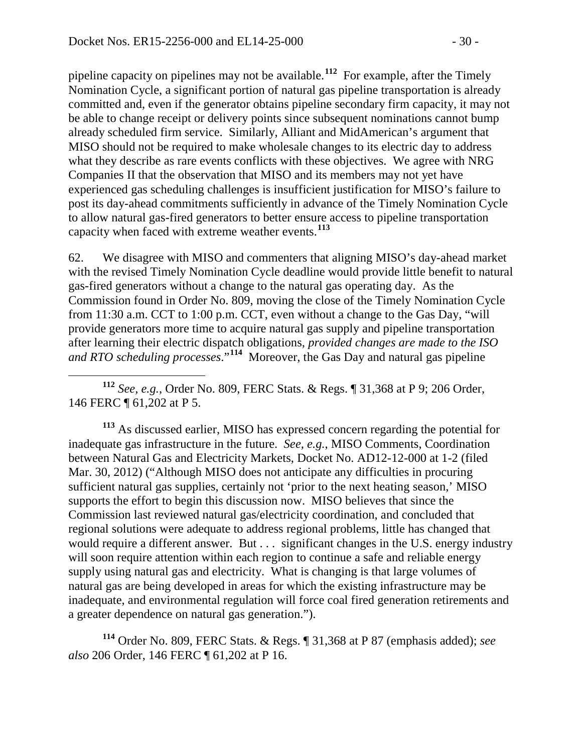pipeline capacity on pipelines may not be available. **[112](#page-29-0)** For example, after the Timely Nomination Cycle, a significant portion of natural gas pipeline transportation is already committed and, even if the generator obtains pipeline secondary firm capacity, it may not be able to change receipt or delivery points since subsequent nominations cannot bump already scheduled firm service. Similarly, Alliant and MidAmerican's argument that MISO should not be required to make wholesale changes to its electric day to address what they describe as rare events conflicts with these objectives. We agree with NRG Companies II that the observation that MISO and its members may not yet have experienced gas scheduling challenges is insufficient justification for MISO's failure to post its day-ahead commitments sufficiently in advance of the Timely Nomination Cycle to allow natural gas-fired generators to better ensure access to pipeline transportation capacity when faced with extreme weather events.**[113](#page-29-1)**

62. We disagree with MISO and commenters that aligning MISO's day-ahead market with the revised Timely Nomination Cycle deadline would provide little benefit to natural gas-fired generators without a change to the natural gas operating day. As the Commission found in Order No. 809, moving the close of the Timely Nomination Cycle from 11:30 a.m. CCT to 1:00 p.m. CCT, even without a change to the Gas Day, "will provide generators more time to acquire natural gas supply and pipeline transportation after learning their electric dispatch obligations, *provided changes are made to the ISO and RTO scheduling processes*."**[114](#page-29-2)** Moreover, the Gas Day and natural gas pipeline

<span id="page-29-0"></span> **<sup>112</sup>** *See, e.g.*, Order No. 809, FERC Stats. & Regs. ¶ 31,368 at P 9; 206 Order, 146 FERC ¶ 61,202 at P 5.

<span id="page-29-1"></span>**<sup>113</sup>** As discussed earlier, MISO has expressed concern regarding the potential for inadequate gas infrastructure in the future. *See, e.g.*, MISO Comments, Coordination between Natural Gas and Electricity Markets, Docket No. AD12-12-000 at 1-2 (filed Mar. 30, 2012) ("Although MISO does not anticipate any difficulties in procuring sufficient natural gas supplies, certainly not 'prior to the next heating season,' MISO supports the effort to begin this discussion now. MISO believes that since the Commission last reviewed natural gas/electricity coordination, and concluded that regional solutions were adequate to address regional problems, little has changed that would require a different answer. But . . . significant changes in the U.S. energy industry will soon require attention within each region to continue a safe and reliable energy supply using natural gas and electricity. What is changing is that large volumes of natural gas are being developed in areas for which the existing infrastructure may be inadequate, and environmental regulation will force coal fired generation retirements and a greater dependence on natural gas generation.").

<span id="page-29-2"></span>**<sup>114</sup>** Order No. 809, FERC Stats. & Regs. ¶ 31,368 at P 87 (emphasis added); *see also* 206 Order, 146 FERC ¶ 61,202 at P 16.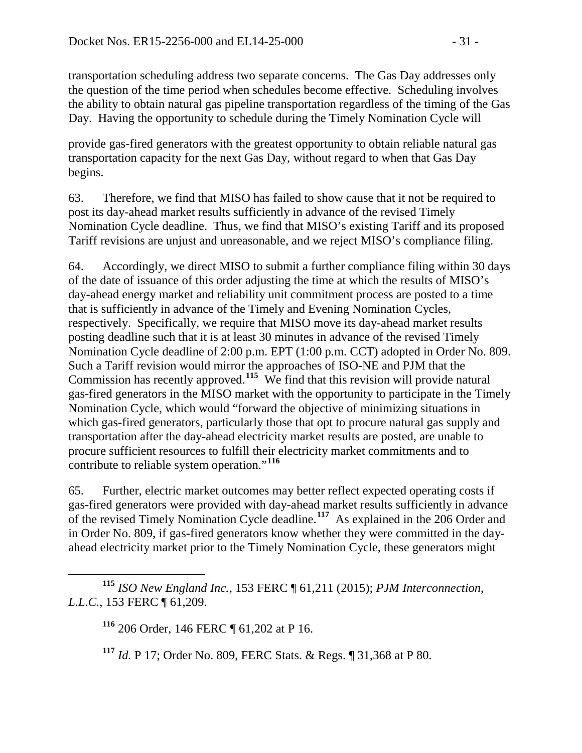transportation scheduling address two separate concerns. The Gas Day addresses only the question of the time period when schedules become effective. Scheduling involves the ability to obtain natural gas pipeline transportation regardless of the timing of the Gas Day. Having the opportunity to schedule during the Timely Nomination Cycle will

provide gas-fired generators with the greatest opportunity to obtain reliable natural gas transportation capacity for the next Gas Day, without regard to when that Gas Day begins.

63. Therefore, we find that MISO has failed to show cause that it not be required to post its day-ahead market results sufficiently in advance of the revised Timely Nomination Cycle deadline. Thus, we find that MISO's existing Tariff and its proposed Tariff revisions are unjust and unreasonable, and we reject MISO's compliance filing.

64. Accordingly, we direct MISO to submit a further compliance filing within 30 days of the date of issuance of this order adjusting the time at which the results of MISO's day-ahead energy market and reliability unit commitment process are posted to a time that is sufficiently in advance of the Timely and Evening Nomination Cycles, respectively. Specifically, we require that MISO move its day-ahead market results posting deadline such that it is at least 30 minutes in advance of the revised Timely Nomination Cycle deadline of 2:00 p.m. EPT (1:00 p.m. CCT) adopted in Order No. 809. Such a Tariff revision would mirror the approaches of ISO-NE and PJM that the Commission has recently approved.**[115](#page-30-0)** We find that this revision will provide natural gas-fired generators in the MISO market with the opportunity to participate in the Timely Nomination Cycle, which would "forward the objective of minimizing situations in which gas-fired generators, particularly those that opt to procure natural gas supply and transportation after the day-ahead electricity market results are posted, are unable to procure sufficient resources to fulfill their electricity market commitments and to contribute to reliable system operation."**[116](#page-30-1)**

65. Further, electric market outcomes may better reflect expected operating costs if gas-fired generators were provided with day-ahead market results sufficiently in advance of the revised Timely Nomination Cycle deadline. **[117](#page-30-2)** As explained in the 206 Order and in Order No. 809, if gas-fired generators know whether they were committed in the dayahead electricity market prior to the Timely Nomination Cycle, these generators might

<span id="page-30-2"></span><span id="page-30-1"></span><span id="page-30-0"></span>**<sup>115</sup>** *ISO New England Inc.*, 153 FERC ¶ 61,211 (2015); *PJM Interconnection, L.L.C.*, 153 FERC ¶ 61,209.

**<sup>116</sup>** 206 Order, 146 FERC ¶ 61,202 at P 16.

**<sup>117</sup>** *Id.* P 17; Order No. 809, FERC Stats. & Regs. ¶ 31,368 at P 80.